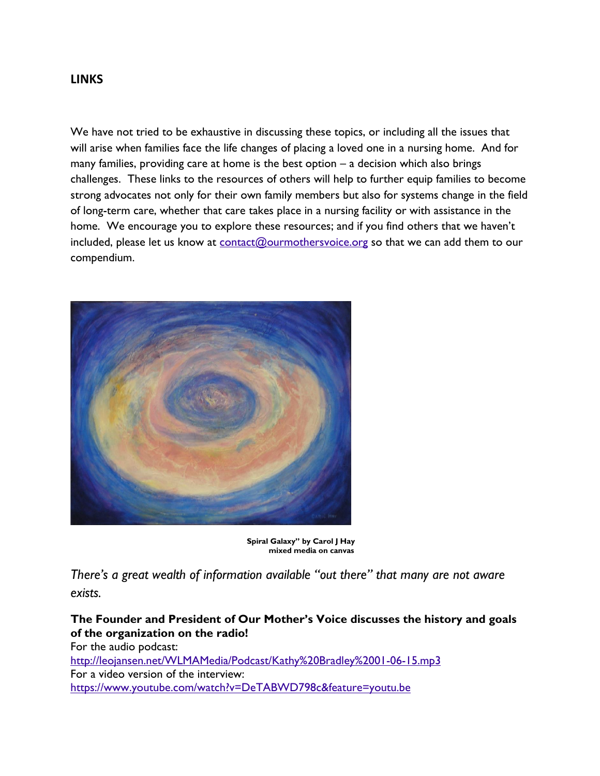#### **LINKS**

We have not tried to be exhaustive in discussing these topics, or including all the issues that will arise when families face the life changes of placing a loved one in a nursing home. And for many families, providing care at home is the best option – a decision which also brings challenges. These links to the resources of others will help to further equip families to become strong advocates not only for their own family members but also for systems change in the field of long-term care, whether that care takes place in a nursing facility or with assistance in the home. We encourage you to explore these resources; and if you find others that we haven't included, please let us know at [contact@ourmothersvoice.org](mailto:contact@ourmothersvoice.org) so that we can add them to our compendium.



**Spiral Galaxy" by Carol J Hay mixed media on canvas**

*There's a great wealth of information available "out there" that many are not aware exists.*

**The Founder and President of Our Mother's Voice discusses the history and goals of the organization on the radio!**

For the audio podcast: <http://leojansen.net/WLMAMedia/Podcast/Kathy%20Bradley%2001-06-15.mp3> For a video version of the interview: <https://www.youtube.com/watch?v=DeTABWD798c&feature=youtu.be>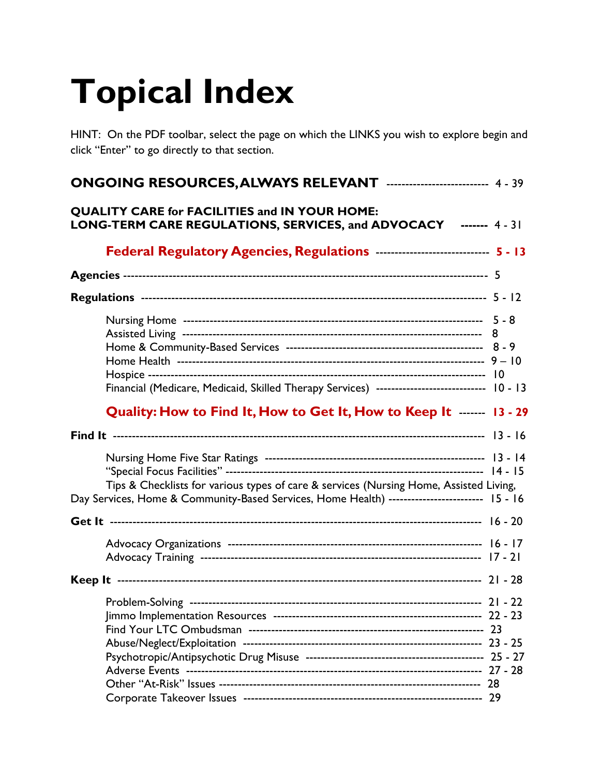# **Topical Index**

HINT: On the PDF toolbar, select the page on which the LINKS you wish to explore begin and click "Enter" to go directly to that section.

| <b>ONGOING RESOURCES, ALWAYS RELEVANT ------------------------- 4 - 39</b>                                                                                                              |  |
|-----------------------------------------------------------------------------------------------------------------------------------------------------------------------------------------|--|
| <b>QUALITY CARE for FACILITIES and IN YOUR HOME:</b><br>LONG-TERM CARE REGULATIONS, SERVICES, and ADVOCACY ------- 4-31                                                                 |  |
| Federal Regulatory Agencies, Regulations ---------------------------- 5 - 13                                                                                                            |  |
|                                                                                                                                                                                         |  |
|                                                                                                                                                                                         |  |
| Financial (Medicare, Medicaid, Skilled Therapy Services) ----------------------------- 10 - 13                                                                                          |  |
| Quality: How to Find It, How to Get It, How to Keep It ------ 13 - 29                                                                                                                   |  |
|                                                                                                                                                                                         |  |
| Tips & Checklists for various types of care & services (Nursing Home, Assisted Living,<br>Day Services, Home & Community-Based Services, Home Health) ------------------------- 15 - 16 |  |
|                                                                                                                                                                                         |  |
|                                                                                                                                                                                         |  |
|                                                                                                                                                                                         |  |
|                                                                                                                                                                                         |  |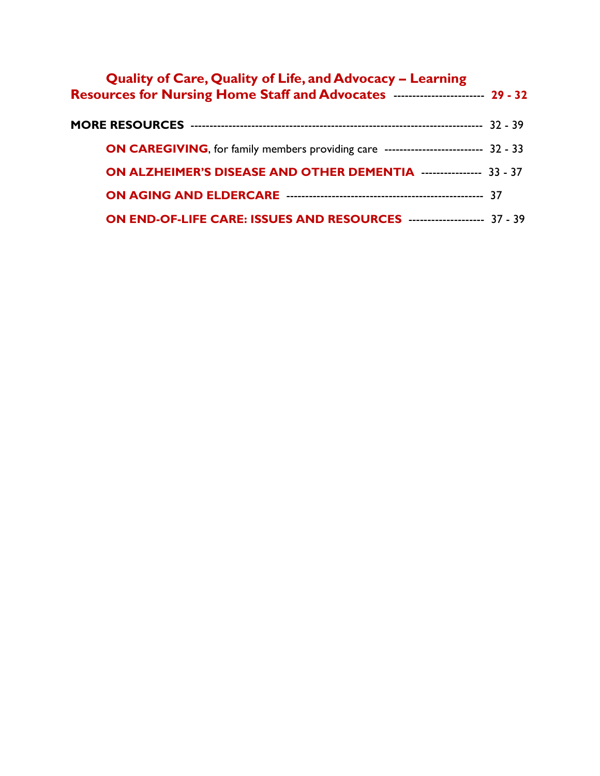| <b>Quality of Care, Quality of Life, and Advocacy - Learning</b><br>Resources for Nursing Home Staff and Advocates ----------------------- 29 - 32 |  |
|----------------------------------------------------------------------------------------------------------------------------------------------------|--|
|                                                                                                                                                    |  |
| ON CAREGIVING, for family members providing care -------------------------- 32 - 33                                                                |  |
| ON ALZHEIMER'S DISEASE AND OTHER DEMENTIA ---------------- 33 - 37                                                                                 |  |
|                                                                                                                                                    |  |
| <b>ON END-OF-LIFE CARE: ISSUES AND RESOURCES ------------------- 37 - 39</b>                                                                       |  |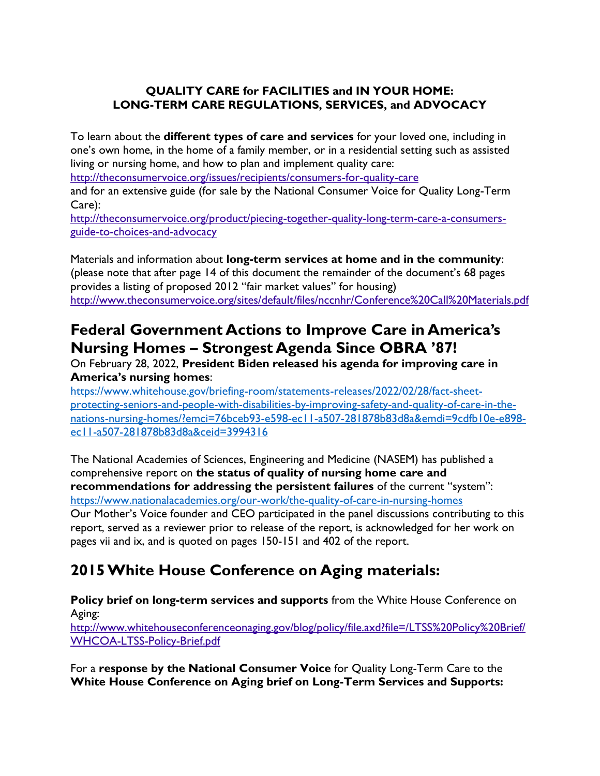# **QUALITY CARE for FACILITIES and IN YOUR HOME: LONG-TERM CARE REGULATIONS, SERVICES, and ADVOCACY**

To learn about the **different types of care and services** for your loved one, including in one's own home, in the home of a family member, or in a residential setting such as assisted living or nursing home, and how to plan and implement quality care:

<http://theconsumervoice.org/issues/recipients/consumers-for-quality-care>

and for an extensive guide (for sale by the National Consumer Voice for Quality Long-Term Care):

[http://theconsumervoice.org/product/piecing-together-quality-long-term-care-a-consumers](http://theconsumervoice.org/product/piecing-together-quality-long-term-care-a-consumers-guide-to-choices-and-advocacy)[guide-to-choices-and-advocacy](http://theconsumervoice.org/product/piecing-together-quality-long-term-care-a-consumers-guide-to-choices-and-advocacy)

Materials and information about **long-term services at home and in the community**: (please note that after page 14 of this document the remainder of the document's 68 pages provides a listing of proposed 2012 "fair market values" for housing) <http://www.theconsumervoice.org/sites/default/files/nccnhr/Conference%20Call%20Materials.pdf>

# **Federal Government Actions to Improve Care in America's Nursing Homes – Strongest Agenda Since OBRA '87!**

On February 28, 2022, **President Biden released his agenda for improving care in America's nursing homes**:

[https://www.whitehouse.gov/briefing-room/statements-releases/2022/02/28/fact-sheet](https://www.whitehouse.gov/briefing-room/statements-releases/2022/02/28/fact-sheet-protecting-seniors-and-people-with-disabilities-by-improving-safety-and-quality-of-care-in-the-nations-nursing-homes/?emci=76bceb93-e598-ec11-a507-281878b83d8a&emdi=9cdfb10e-e898-ec11-a507-281878b83d8a&ceid=3994316)[protecting-seniors-and-people-with-disabilities-by-improving-safety-and-quality-of-care-in-the](https://www.whitehouse.gov/briefing-room/statements-releases/2022/02/28/fact-sheet-protecting-seniors-and-people-with-disabilities-by-improving-safety-and-quality-of-care-in-the-nations-nursing-homes/?emci=76bceb93-e598-ec11-a507-281878b83d8a&emdi=9cdfb10e-e898-ec11-a507-281878b83d8a&ceid=3994316)[nations-nursing-homes/?emci=76bceb93-e598-ec11-a507-281878b83d8a&emdi=9cdfb10e-e898](https://www.whitehouse.gov/briefing-room/statements-releases/2022/02/28/fact-sheet-protecting-seniors-and-people-with-disabilities-by-improving-safety-and-quality-of-care-in-the-nations-nursing-homes/?emci=76bceb93-e598-ec11-a507-281878b83d8a&emdi=9cdfb10e-e898-ec11-a507-281878b83d8a&ceid=3994316) [ec11-a507-281878b83d8a&ceid=3994316](https://www.whitehouse.gov/briefing-room/statements-releases/2022/02/28/fact-sheet-protecting-seniors-and-people-with-disabilities-by-improving-safety-and-quality-of-care-in-the-nations-nursing-homes/?emci=76bceb93-e598-ec11-a507-281878b83d8a&emdi=9cdfb10e-e898-ec11-a507-281878b83d8a&ceid=3994316)

The National Academies of Sciences, Engineering and Medicine (NASEM) has published a comprehensive report on **the status of quality of nursing home care and recommendations for addressing the persistent failures** of the current "system": <https://www.nationalacademies.org/our-work/the-quality-of-care-in-nursing-homes> Our Mother's Voice founder and CEO participated in the panel discussions contributing to this report, served as a reviewer prior to release of the report, is acknowledged for her work on pages vii and ix, and is quoted on pages 150-151 and 402 of the report.

# **2015 White House Conference on Aging materials:**

**Policy brief on long-term services and supports** from the White House Conference on Aging:

[http://www.whitehouseconferenceonaging.gov/blog/policy/file.axd?file=/LTSS%20Policy%20Brief/](http://www.whitehouseconferenceonaging.gov/blog/policy/file.axd?file=/LTSS%20Policy%20Brief/WHCOA-LTSS-Policy-Brief.pdf) [WHCOA-LTSS-Policy-Brief.pdf](http://www.whitehouseconferenceonaging.gov/blog/policy/file.axd?file=/LTSS%20Policy%20Brief/WHCOA-LTSS-Policy-Brief.pdf)

For a **response by the National Consumer Voice** for Quality Long-Term Care to the **White House Conference on Aging brief on Long-Term Services and Supports:**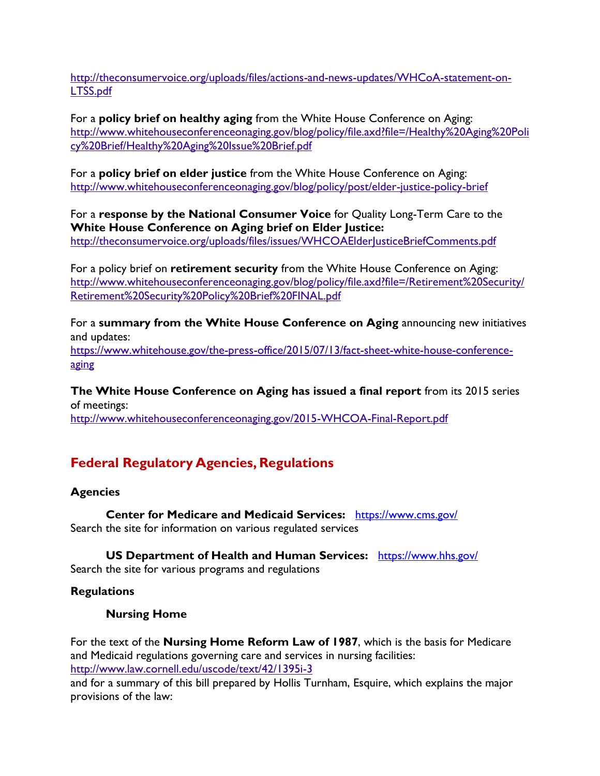[http://theconsumervoice.org/uploads/files/actions-and-news-updates/WHCoA-statement-on-](http://theconsumervoice.org/uploads/files/actions-and-news-updates/WHCoA-statement-on-LTSS.pdf)[LTSS.pdf](http://theconsumervoice.org/uploads/files/actions-and-news-updates/WHCoA-statement-on-LTSS.pdf)

For a **policy brief on healthy aging** from the White House Conference on Aging: [http://www.whitehouseconferenceonaging.gov/blog/policy/file.axd?file=/Healthy%20Aging%20Poli](http://www.whitehouseconferenceonaging.gov/blog/policy/file.axd?file=/Healthy%20Aging%20Policy%20Brief/Healthy%20Aging%20Issue%20Brief.pdf) [cy%20Brief/Healthy%20Aging%20Issue%20Brief.pdf](http://www.whitehouseconferenceonaging.gov/blog/policy/file.axd?file=/Healthy%20Aging%20Policy%20Brief/Healthy%20Aging%20Issue%20Brief.pdf)

For a **policy brief on elder justice** from the White House Conference on Aging: <http://www.whitehouseconferenceonaging.gov/blog/policy/post/elder-justice-policy-brief>

For a **response by the National Consumer Voice** for Quality Long-Term Care to the **White House Conference on Aging brief on Elder Justice:**

http://theconsumervoice.org/uploads/files/issues/WHCOAEIder|usticeBriefComments.pdf

For a policy brief on **retirement security** from the White House Conference on Aging: [http://www.whitehouseconferenceonaging.gov/blog/policy/file.axd?file=/Retirement%20Security/](http://www.whitehouseconferenceonaging.gov/blog/policy/file.axd?file=/Retirement%20Security/Retirement%20Security%20Policy%20Brief%20FINAL.pdf) [Retirement%20Security%20Policy%20Brief%20FINAL.pdf](http://www.whitehouseconferenceonaging.gov/blog/policy/file.axd?file=/Retirement%20Security/Retirement%20Security%20Policy%20Brief%20FINAL.pdf)

For a **summary from the White House Conference on Aging** announcing new initiatives and updates:

[https://www.whitehouse.gov/the-press-office/2015/07/13/fact-sheet-white-house-conference](https://www.whitehouse.gov/the-press-office/2015/07/13/fact-sheet-white-house-conference-aging)[aging](https://www.whitehouse.gov/the-press-office/2015/07/13/fact-sheet-white-house-conference-aging)

**The White House Conference on Aging has issued a final report** from its 2015 series of meetings:

<http://www.whitehouseconferenceonaging.gov/2015-WHCOA-Final-Report.pdf>

# **Federal Regulatory Agencies, Regulations**

# **Agencies**

**Center for Medicare and Medicaid Services:** <https://www.cms.gov/> Search the site for information on various regulated services

**US Department of Health and Human Services:** <https://www.hhs.gov/>

Search the site for various programs and regulations

#### **Regulations**

#### **Nursing Home**

For the text of the **Nursing Home Reform Law of 1987**, which is the basis for Medicare and Medicaid regulations governing care and services in nursing facilities: <http://www.law.cornell.edu/uscode/text/42/1395i-3>

and for a summary of this bill prepared by Hollis Turnham, Esquire, which explains the major provisions of the law: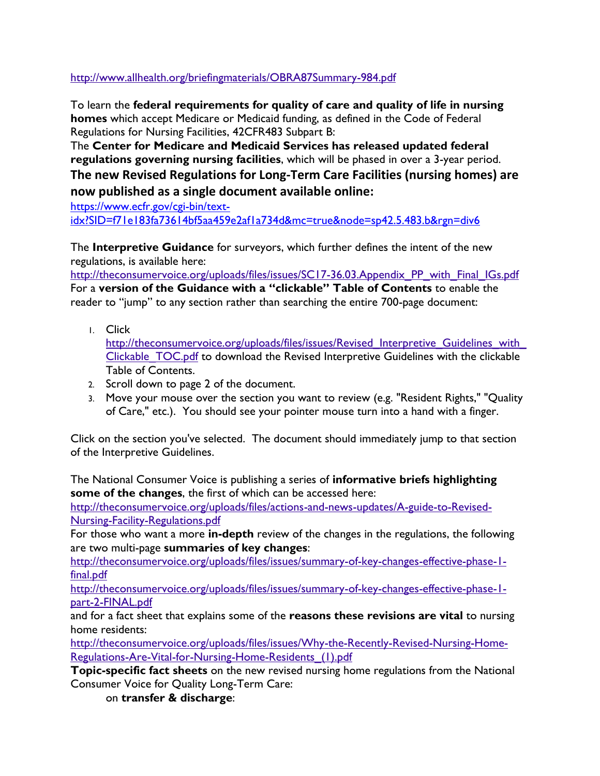<http://www.allhealth.org/briefingmaterials/OBRA87Summary-984.pdf>

To learn the **federal requirements for quality of care and quality of life in nursing homes** which accept Medicare or Medicaid funding, as defined in the Code of Federal Regulations for Nursing Facilities, 42CFR483 Subpart B:

The **Center for Medicare and Medicaid Services has released updated federal regulations governing nursing facilities**, which will be phased in over a 3-year period. **The new Revised Regulations for Long-Term Care Facilities (nursing homes) are now published as a single document available online:**

[https://www.ecfr.gov/cgi-bin/text](https://www.ecfr.gov/cgi-bin/text-idx?SID=f71e183fa73614bf5aa459e2af1a734d&mc=true&node=sp42.5.483.b&rgn=div6)[idx?SID=f71e183fa73614bf5aa459e2af1a734d&mc=true&node=sp42.5.483.b&rgn=div6](https://www.ecfr.gov/cgi-bin/text-idx?SID=f71e183fa73614bf5aa459e2af1a734d&mc=true&node=sp42.5.483.b&rgn=div6)

The **Interpretive Guidance** for surveyors, which further defines the intent of the new regulations, is available here:

[http://theconsumervoice.org/uploads/files/issues/SC17-36.03.Appendix\\_PP\\_with\\_Final\\_IGs.pdf](http://theconsumervoice.org/uploads/files/issues/SC17-36.03.Appendix_PP_with_Final_IGs.pdf) For a **version of the Guidance with a "clickable" Table of Contents** to enable the reader to "jump" to any section rather than searching the entire 700-page document:

1. Click

http://theconsumervoice.org/uploads/files/issues/Revised Interpretive Guidelines with Clickable TOC.pdf to download the Revised Interpretive Guidelines with the clickable Table of Contents.

- 2. Scroll down to page 2 of the document.
- 3. Move your mouse over the section you want to review (e.g. "Resident Rights," "Quality of Care," etc.). You should see your pointer mouse turn into a hand with a finger.

Click on the section you've selected. The document should immediately jump to that section of the Interpretive Guidelines.

The National Consumer Voice is publishing a series of **informative briefs highlighting some of the changes**, the first of which can be accessed here:

[http://theconsumervoice.org/uploads/files/actions-and-news-updates/A-guide-to-Revised-](http://theconsumervoice.org/uploads/files/actions-and-news-updates/A-guide-to-Revised-Nursing-Facility-Regulations.pdf)[Nursing-Facility-Regulations.pdf](http://theconsumervoice.org/uploads/files/actions-and-news-updates/A-guide-to-Revised-Nursing-Facility-Regulations.pdf)

For those who want a more **in-depth** review of the changes in the regulations, the following are two multi-page **summaries of key changes**:

[http://theconsumervoice.org/uploads/files/issues/summary-of-key-changes-effective-phase-1](http://theconsumervoice.org/uploads/files/issues/summary-of-key-changes-effective-phase-1-final.pdf) [final.pdf](http://theconsumervoice.org/uploads/files/issues/summary-of-key-changes-effective-phase-1-final.pdf)

[http://theconsumervoice.org/uploads/files/issues/summary-of-key-changes-effective-phase-1](http://theconsumervoice.org/uploads/files/issues/summary-of-key-changes-effective-phase-1-part-2-FINAL.pdf) [part-2-FINAL.pdf](http://theconsumervoice.org/uploads/files/issues/summary-of-key-changes-effective-phase-1-part-2-FINAL.pdf)

and for a fact sheet that explains some of the **reasons these revisions are vital** to nursing home residents:

[http://theconsumervoice.org/uploads/files/issues/Why-the-Recently-Revised-Nursing-Home-](http://theconsumervoice.org/uploads/files/issues/Why-the-Recently-Revised-Nursing-Home-Regulations-Are-Vital-for-Nursing-Home-Residents_(1).pdf)Regulations-Are-Vital-for-Nursing-Home-Residents (1).pdf

**Topic-specific fact sheets** on the new revised nursing home regulations from the National Consumer Voice for Quality Long-Term Care:

on **transfer & discharge**: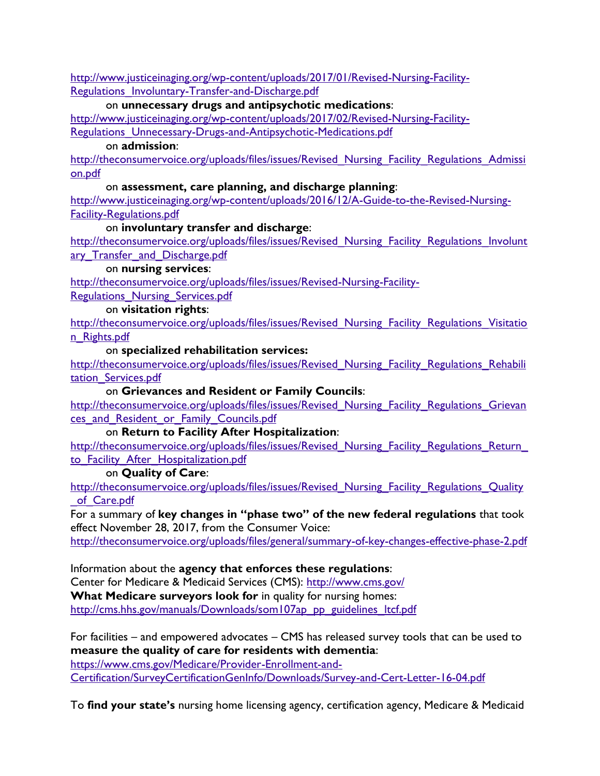[http://www.justiceinaging.org/wp-content/uploads/2017/01/Revised-Nursing-Facility-](http://www.justiceinaging.org/wp-content/uploads/2017/01/Revised-Nursing-Facility-Regulations_Involuntary-Transfer-and-Discharge.pdf)Regulations Involuntary-Transfer-and-Discharge.pdf

#### on **unnecessary drugs and antipsychotic medications**:

[http://www.justiceinaging.org/wp-content/uploads/2017/02/Revised-Nursing-Facility-](http://www.justiceinaging.org/wp-content/uploads/2017/02/Revised-Nursing-Facility-Regulations_Unnecessary-Drugs-and-Antipsychotic-Medications.pdf)Regulations Unnecessary-Drugs-and-Antipsychotic-Medications.pdf

#### on **admission**:

http://theconsumervoice.org/uploads/files/issues/Revised Nursing Facility Regulations Admissi [on.pdf](http://theconsumervoice.org/uploads/files/issues/Revised_Nursing_Facility_Regulations_Admission.pdf)

#### on **assessment, care planning, and discharge planning**:

[http://www.justiceinaging.org/wp-content/uploads/2016/12/A-Guide-to-the-Revised-Nursing-](http://www.justiceinaging.org/wp-content/uploads/2016/12/A-Guide-to-the-Revised-Nursing-Facility-Regulations.pdf)[Facility-Regulations.pdf](http://www.justiceinaging.org/wp-content/uploads/2016/12/A-Guide-to-the-Revised-Nursing-Facility-Regulations.pdf)

#### on **involuntary transfer and discharge**:

http://theconsumervoice.org/uploads/files/issues/Revised Nursing Facility Regulations Involunt ary Transfer and Discharge.pdf

#### on **nursing services**:

[http://theconsumervoice.org/uploads/files/issues/Revised-Nursing-Facility-](http://theconsumervoice.org/uploads/files/issues/Revised-Nursing-Facility-Regulations_Nursing_Services.pdf)

Regulations Nursing Services.pdf

#### on **visitation rights**:

http://theconsumervoice.org/uploads/files/issues/Revised Nursing Facility Regulations Visitatio [n\\_Rights.pdf](http://theconsumervoice.org/uploads/files/issues/Revised_Nursing_Facility_Regulations_Visitation_Rights.pdf)

#### on **specialized rehabilitation services:**

http://theconsumervoice.org/uploads/files/issues/Revised Nursing Facility Regulations Rehabili tation Services.pdf

#### on **Grievances and Resident or Family Councils**:

http://theconsumervoice.org/uploads/files/issues/Revised Nursing Facility Regulations Grievan ces and Resident or Family Councils.pdf

#### on **Return to Facility After Hospitalization**:

http://theconsumervoice.org/uploads/files/issues/Revised Nursing Facility Regulations Return to Facility After Hospitalization.pdf

#### on **Quality of Care**:

http://theconsumervoice.org/uploads/files/issues/Revised Nursing Facility Regulations Quality of Care.pdf

For a summary of **key changes in "phase two" of the new federal regulations** that took effect November 28, 2017, from the Consumer Voice:

<http://theconsumervoice.org/uploads/files/general/summary-of-key-changes-effective-phase-2.pdf>

Information about the **agency that enforces these regulations**: Center for Medicare & Medicaid Services (CMS):<http://www.cms.gov/>

**What Medicare surveyors look for** in quality for nursing homes: http://cms.hhs.gov/manuals/Downloads/som107ap\_pp\_guidelines\_ltcf.pdf

For facilities – and empowered advocates – CMS has released survey tools that can be used to **measure the quality of care for residents with dementia**:

[https://www.cms.gov/Medicare/Provider-Enrollment-and-](https://www.cms.gov/Medicare/Provider-Enrollment-and-Certification/SurveyCertificationGenInfo/Downloads/Survey-and-Cert-Letter-16-04.pdf)[Certification/SurveyCertificationGenInfo/Downloads/Survey-and-Cert-Letter-16-04.pdf](https://www.cms.gov/Medicare/Provider-Enrollment-and-Certification/SurveyCertificationGenInfo/Downloads/Survey-and-Cert-Letter-16-04.pdf)

To **find your state's** nursing home licensing agency, certification agency, Medicare & Medicaid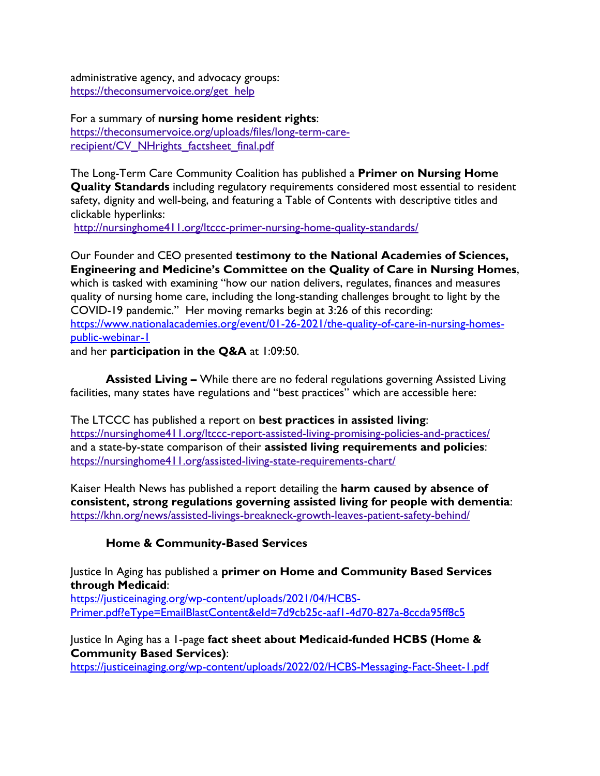administrative agency, and advocacy groups: [https://theconsumervoice.org/get\\_help](https://theconsumervoice.org/get_help)

For a summary of **nursing home resident rights**: [https://theconsumervoice.org/uploads/files/long-term-care](https://theconsumervoice.org/uploads/files/long-term-care-recipient/CV_NHrights_factsheet_final.pdf)[recipient/CV\\_NHrights\\_factsheet\\_final.pdf](https://theconsumervoice.org/uploads/files/long-term-care-recipient/CV_NHrights_factsheet_final.pdf)

The Long-Term Care Community Coalition has published a **Primer on Nursing Home Quality Standards** including regulatory requirements considered most essential to resident safety, dignity and well-being, and featuring a Table of Contents with descriptive titles and clickable hyperlinks:

<http://nursinghome411.org/ltccc-primer-nursing-home-quality-standards/>

Our Founder and CEO presented **testimony to the National Academies of Sciences, Engineering and Medicine's Committee on the Quality of Care in Nursing Homes**, which is tasked with examining "how our nation delivers, regulates, finances and measures quality of nursing home care, including the long-standing challenges brought to light by the COVID-19 pandemic." Her moving remarks begin at 3:26 of this recording: [https://www.nationalacademies.org/event/01-26-2021/the-quality-of-care-in-nursing-homes](https://www.nationalacademies.org/event/01-26-2021/the-quality-of-care-in-nursing-homes-public-webinar-1)[public-webinar-1](https://www.nationalacademies.org/event/01-26-2021/the-quality-of-care-in-nursing-homes-public-webinar-1)

and her **participation in the Q&A** at 1:09:50.

**Assisted Living –** While there are no federal regulations governing Assisted Living facilities, many states have regulations and "best practices" which are accessible here:

The LTCCC has published a report on **best practices in assisted living**: <https://nursinghome411.org/ltccc-report-assisted-living-promising-policies-and-practices/> and a state-by-state comparison of their **assisted living requirements and policies**: <https://nursinghome411.org/assisted-living-state-requirements-chart/>

Kaiser Health News has published a report detailing the **harm caused by absence of consistent, strong regulations governing assisted living for people with dementia**: <https://khn.org/news/assisted-livings-breakneck-growth-leaves-patient-safety-behind/>

#### **Home & Community-Based Services**

Justice In Aging has published a **primer on Home and Community Based Services through Medicaid**:

[https://justiceinaging.org/wp-content/uploads/2021/04/HCBS-](https://justiceinaging.org/wp-content/uploads/2021/04/HCBS-Primer.pdf?eType=EmailBlastContent&eId=7d9cb25c-aaf1-4d70-827a-8ccda95ff8c5)[Primer.pdf?eType=EmailBlastContent&eId=7d9cb25c-aaf1-4d70-827a-8ccda95ff8c5](https://justiceinaging.org/wp-content/uploads/2021/04/HCBS-Primer.pdf?eType=EmailBlastContent&eId=7d9cb25c-aaf1-4d70-827a-8ccda95ff8c5)

Justice In Aging has a 1-page **fact sheet about Medicaid-funded HCBS (Home & Community Based Services)**:

<https://justiceinaging.org/wp-content/uploads/2022/02/HCBS-Messaging-Fact-Sheet-1.pdf>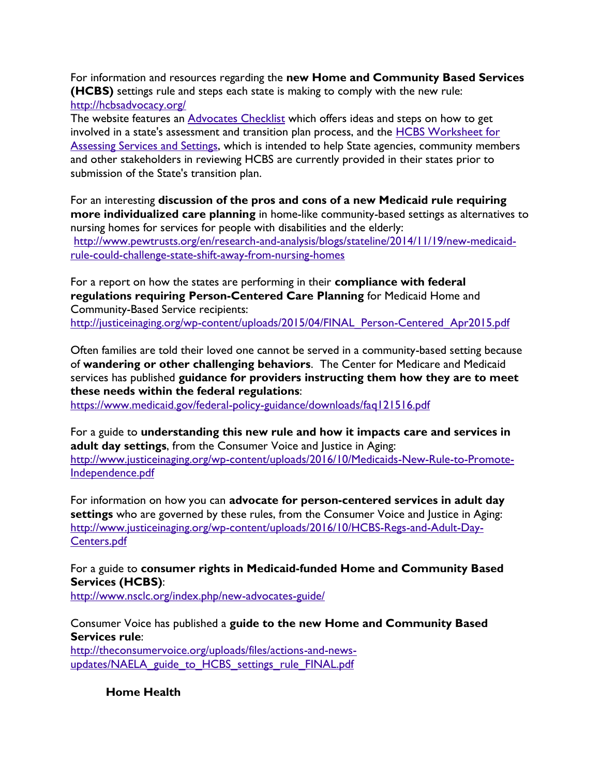For information and resources regarding the **new Home and Community Based Services (HCBS)** settings rule and steps each state is making to comply with the new rule: <http://hcbsadvocacy.org/>

The website features an **[Advocates Checklist](http://wfc2.wiredforchange.com/dia/track.jsp?v=2&c=tT%2BiJIwg3BAjRtRH4bsvV3ooe2j6zzlt)** which offers ideas and steps on how to get involved in a state's assessment and transition plan process, and the [HCBS Worksheet for](http://wfc2.wiredforchange.com/dia/track.jsp?v=2&c=HfNZAYqti8%2BdFA4kQK2r1Xooe2j6zzlt)  [Assessing Services and Settings,](http://wfc2.wiredforchange.com/dia/track.jsp?v=2&c=HfNZAYqti8%2BdFA4kQK2r1Xooe2j6zzlt) which is intended to help State agencies, community members and other stakeholders in reviewing HCBS are currently provided in their states prior to submission of the State's transition plan.

For an interesting **discussion of the pros and cons of a new Medicaid rule requiring more individualized care planning** in home-like community-based settings as alternatives to nursing homes for services for people with disabilities and the elderly: [http://www.pewtrusts.org/en/research-and-analysis/blogs/stateline/2014/11/19/new-medicaid](http://www.pewtrusts.org/en/research-and-analysis/blogs/stateline/2014/11/19/new-medicaid-rule-could-challenge-state-shift-away-from-nursing-homes)[rule-could-challenge-state-shift-away-from-nursing-homes](http://www.pewtrusts.org/en/research-and-analysis/blogs/stateline/2014/11/19/new-medicaid-rule-could-challenge-state-shift-away-from-nursing-homes)

For a report on how the states are performing in their **compliance with federal regulations requiring Person-Centered Care Planning** for Medicaid Home and Community-Based Service recipients: [http://justiceinaging.org/wp-content/uploads/2015/04/FINAL\\_Person-Centered\\_Apr2015.pdf](http://justiceinaging.org/wp-content/uploads/2015/04/FINAL_Person-Centered_Apr2015.pdf)

Often families are told their loved one cannot be served in a community-based setting because of **wandering or other challenging behaviors**. The Center for Medicare and Medicaid services has published **guidance for providers instructing them how they are to meet these needs within the federal regulations**:

<https://www.medicaid.gov/federal-policy-guidance/downloads/faq121516.pdf>

For a guide to **understanding this new rule and how it impacts care and services in adult day settings**, from the Consumer Voice and Justice in Aging: [http://www.justiceinaging.org/wp-content/uploads/2016/10/Medicaids-New-Rule-to-Promote-](http://www.justiceinaging.org/wp-content/uploads/2016/10/Medicaids-New-Rule-to-Promote-Independence.pdf)[Independence.pdf](http://www.justiceinaging.org/wp-content/uploads/2016/10/Medicaids-New-Rule-to-Promote-Independence.pdf)

For information on how you can **advocate for person-centered services in adult day settings** who are governed by these rules, from the Consumer Voice and Justice in Aging: [http://www.justiceinaging.org/wp-content/uploads/2016/10/HCBS-Regs-and-Adult-Day-](http://www.justiceinaging.org/wp-content/uploads/2016/10/HCBS-Regs-and-Adult-Day-Centers.pdf)[Centers.pdf](http://www.justiceinaging.org/wp-content/uploads/2016/10/HCBS-Regs-and-Adult-Day-Centers.pdf)

For a guide to **consumer rights in Medicaid-funded Home and Community Based Services (HCBS)**: <http://www.nsclc.org/index.php/new-advocates-guide/>

Consumer Voice has published a **guide to the new Home and Community Based Services rule**:

[http://theconsumervoice.org/uploads/files/actions-and-news](http://theconsumervoice.org/uploads/files/actions-and-news-updates/NAELA_guide_to_HCBS_settings_rule_FINAL.pdf)[updates/NAELA\\_guide\\_to\\_HCBS\\_settings\\_rule\\_FINAL.pdf](http://theconsumervoice.org/uploads/files/actions-and-news-updates/NAELA_guide_to_HCBS_settings_rule_FINAL.pdf)

**Home Health**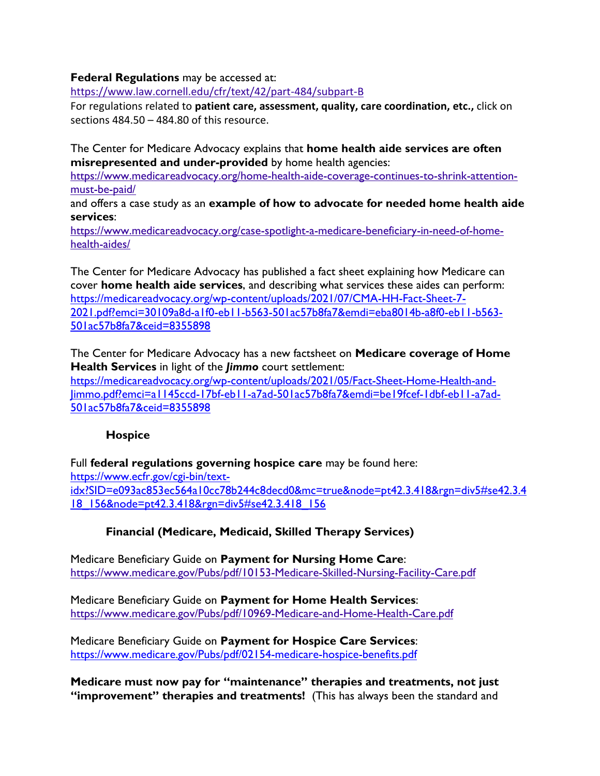**Federal Regulations** may be accessed at:

<https://www.law.cornell.edu/cfr/text/42/part-484/subpart-B>

For regulations related to **patient care, assessment, quality, care coordination, etc.,** click on sections 484.50 – 484.80 of this resource.

The Center for Medicare Advocacy explains that **home health aide services are often misrepresented and under-provided** by home health agencies:

[https://www.medicareadvocacy.org/home-health-aide-coverage-continues-to-shrink-attention](https://www.medicareadvocacy.org/home-health-aide-coverage-continues-to-shrink-attention-must-be-paid/)[must-be-paid/](https://www.medicareadvocacy.org/home-health-aide-coverage-continues-to-shrink-attention-must-be-paid/)

and offers a case study as an **example of how to advocate for needed home health aide services**:

[https://www.medicareadvocacy.org/case-spotlight-a-medicare-beneficiary-in-need-of-home](https://www.medicareadvocacy.org/case-spotlight-a-medicare-beneficiary-in-need-of-home-health-aides/)[health-aides/](https://www.medicareadvocacy.org/case-spotlight-a-medicare-beneficiary-in-need-of-home-health-aides/)

The Center for Medicare Advocacy has published a fact sheet explaining how Medicare can cover **home health aide services**, and describing what services these aides can perform: [https://medicareadvocacy.org/wp-content/uploads/2021/07/CMA-HH-Fact-Sheet-7-](https://medicareadvocacy.org/wp-content/uploads/2021/07/CMA-HH-Fact-Sheet-7-2021.pdf?emci=30109a8d-a1f0-eb11-b563-501ac57b8fa7&emdi=eba8014b-a8f0-eb11-b563-501ac57b8fa7&ceid=8355898) [2021.pdf?emci=30109a8d-a1f0-eb11-b563-501ac57b8fa7&emdi=eba8014b-a8f0-eb11-b563-](https://medicareadvocacy.org/wp-content/uploads/2021/07/CMA-HH-Fact-Sheet-7-2021.pdf?emci=30109a8d-a1f0-eb11-b563-501ac57b8fa7&emdi=eba8014b-a8f0-eb11-b563-501ac57b8fa7&ceid=8355898) [501ac57b8fa7&ceid=8355898](https://medicareadvocacy.org/wp-content/uploads/2021/07/CMA-HH-Fact-Sheet-7-2021.pdf?emci=30109a8d-a1f0-eb11-b563-501ac57b8fa7&emdi=eba8014b-a8f0-eb11-b563-501ac57b8fa7&ceid=8355898)

The Center for Medicare Advocacy has a new factsheet on **Medicare coverage of Home Health Services** in light of the *Jimmo* court settlement: [https://medicareadvocacy.org/wp-content/uploads/2021/05/Fact-Sheet-Home-Health-and-](https://medicareadvocacy.org/wp-content/uploads/2021/05/Fact-Sheet-Home-Health-and-Jimmo.pdf?emci=a1145ccd-17bf-eb11-a7ad-501ac57b8fa7&emdi=be19fcef-1dbf-eb11-a7ad-501ac57b8fa7&ceid=8355898)[Jimmo.pdf?emci=a1145ccd-17bf-eb11-a7ad-501ac57b8fa7&emdi=be19fcef-1dbf-eb11-a7ad-](https://medicareadvocacy.org/wp-content/uploads/2021/05/Fact-Sheet-Home-Health-and-Jimmo.pdf?emci=a1145ccd-17bf-eb11-a7ad-501ac57b8fa7&emdi=be19fcef-1dbf-eb11-a7ad-501ac57b8fa7&ceid=8355898)[501ac57b8fa7&ceid=8355898](https://medicareadvocacy.org/wp-content/uploads/2021/05/Fact-Sheet-Home-Health-and-Jimmo.pdf?emci=a1145ccd-17bf-eb11-a7ad-501ac57b8fa7&emdi=be19fcef-1dbf-eb11-a7ad-501ac57b8fa7&ceid=8355898)

#### **Hospice**

Full **federal regulations governing hospice care** may be found here: [https://www.ecfr.gov/cgi-bin/text](https://www.ecfr.gov/cgi-bin/text-idx?SID=e093ac853ec564a10cc78b244c8decd0&mc=true&node=pt42.3.418&rgn=div5#se42.3.418_156&node=pt42.3.418&rgn=div5)[idx?SID=e093ac853ec564a10cc78b244c8decd0&mc=true&node=pt42.3.418&rgn=div5#se42.3.4](https://www.ecfr.gov/cgi-bin/text-idx?SID=e093ac853ec564a10cc78b244c8decd0&mc=true&node=pt42.3.418&rgn=div5#se42.3.418_156&node=pt42.3.418&rgn=div5) [18\\_156&node=pt42.3.418&rgn=div5#se42.3.418\\_156](https://www.ecfr.gov/cgi-bin/text-idx?SID=e093ac853ec564a10cc78b244c8decd0&mc=true&node=pt42.3.418&rgn=div5#se42.3.418_156&node=pt42.3.418&rgn=div5)

# **Financial (Medicare, Medicaid, Skilled Therapy Services)**

Medicare Beneficiary Guide on **Payment for Nursing Home Care**: <https://www.medicare.gov/Pubs/pdf/10153-Medicare-Skilled-Nursing-Facility-Care.pdf>

Medicare Beneficiary Guide on **Payment for Home Health Services**: <https://www.medicare.gov/Pubs/pdf/10969-Medicare-and-Home-Health-Care.pdf>

Medicare Beneficiary Guide on **Payment for Hospice Care Services**: <https://www.medicare.gov/Pubs/pdf/02154-medicare-hospice-benefits.pdf>

**Medicare must now pay for "maintenance" therapies and treatments, not just "improvement" therapies and treatments!** (This has always been the standard and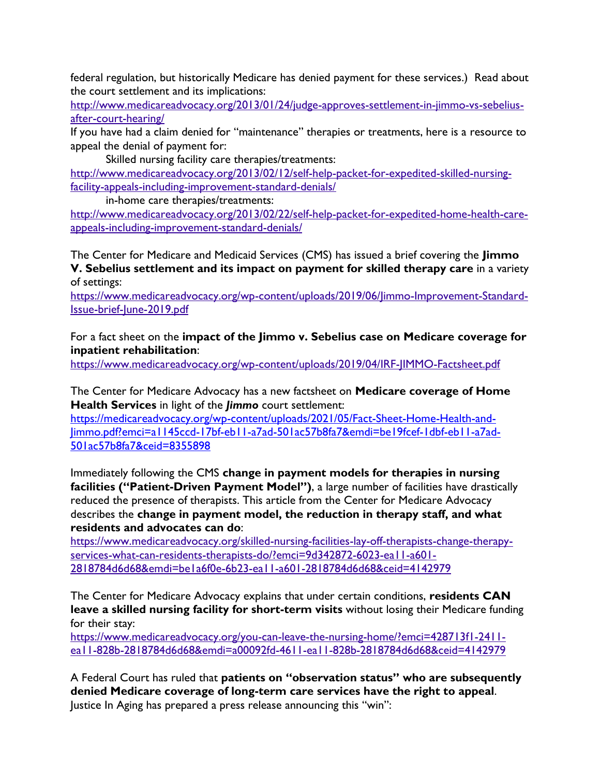federal regulation, but historically Medicare has denied payment for these services.) Read about the court settlement and its implications:

[http://www.medicareadvocacy.org/2013/01/24/judge-approves-settlement-in-jimmo-vs-sebelius](http://www.medicareadvocacy.org/2013/01/24/judge-approves-settlement-in-jimmo-vs-sebelius-after-court-hearing/)[after-court-hearing/](http://www.medicareadvocacy.org/2013/01/24/judge-approves-settlement-in-jimmo-vs-sebelius-after-court-hearing/) 

If you have had a claim denied for "maintenance" therapies or treatments, here is a resource to appeal the denial of payment for:

Skilled nursing facility care therapies/treatments:

[http://www.medicareadvocacy.org/2013/02/12/self-help-packet-for-expedited-skilled-nursing](http://www.medicareadvocacy.org/2013/02/12/self-help-packet-for-expedited-skilled-nursing-facility-appeals-including-improvement-standard-denials/)[facility-appeals-including-improvement-standard-denials/](http://www.medicareadvocacy.org/2013/02/12/self-help-packet-for-expedited-skilled-nursing-facility-appeals-including-improvement-standard-denials/)

in-home care therapies/treatments:

[http://www.medicareadvocacy.org/2013/02/22/self-help-packet-for-expedited-home-health-care](http://www.medicareadvocacy.org/2013/02/22/self-help-packet-for-expedited-home-health-care-appeals-including-improvement-standard-denials/)[appeals-including-improvement-standard-denials/](http://www.medicareadvocacy.org/2013/02/22/self-help-packet-for-expedited-home-health-care-appeals-including-improvement-standard-denials/) 

The Center for Medicare and Medicaid Services (CMS) has issued a brief covering the **Jimmo V. Sebelius settlement and its impact on payment for skilled therapy care** in a variety of settings:

[https://www.medicareadvocacy.org/wp-content/uploads/2019/06/Jimmo-Improvement-Standard-](https://www.medicareadvocacy.org/wp-content/uploads/2019/06/Jimmo-Improvement-Standard-Issue-brief-June-2019.pdf)[Issue-brief-June-2019.pdf](https://www.medicareadvocacy.org/wp-content/uploads/2019/06/Jimmo-Improvement-Standard-Issue-brief-June-2019.pdf)

For a fact sheet on the **impact of the Jimmo v. Sebelius case on Medicare coverage for inpatient rehabilitation**:

<https://www.medicareadvocacy.org/wp-content/uploads/2019/04/IRF-JIMMO-Factsheet.pdf>

The Center for Medicare Advocacy has a new factsheet on **Medicare coverage of Home Health Services** in light of the *Jimmo* court settlement:

[https://medicareadvocacy.org/wp-content/uploads/2021/05/Fact-Sheet-Home-Health-and-](https://medicareadvocacy.org/wp-content/uploads/2021/05/Fact-Sheet-Home-Health-and-Jimmo.pdf?emci=a1145ccd-17bf-eb11-a7ad-501ac57b8fa7&emdi=be19fcef-1dbf-eb11-a7ad-501ac57b8fa7&ceid=8355898)[Jimmo.pdf?emci=a1145ccd-17bf-eb11-a7ad-501ac57b8fa7&emdi=be19fcef-1dbf-eb11-a7ad-](https://medicareadvocacy.org/wp-content/uploads/2021/05/Fact-Sheet-Home-Health-and-Jimmo.pdf?emci=a1145ccd-17bf-eb11-a7ad-501ac57b8fa7&emdi=be19fcef-1dbf-eb11-a7ad-501ac57b8fa7&ceid=8355898)[501ac57b8fa7&ceid=8355898](https://medicareadvocacy.org/wp-content/uploads/2021/05/Fact-Sheet-Home-Health-and-Jimmo.pdf?emci=a1145ccd-17bf-eb11-a7ad-501ac57b8fa7&emdi=be19fcef-1dbf-eb11-a7ad-501ac57b8fa7&ceid=8355898)

Immediately following the CMS **change in payment models for therapies in nursing facilities ("Patient-Driven Payment Model")**, a large number of facilities have drastically reduced the presence of therapists. This article from the Center for Medicare Advocacy describes the **change in payment model, the reduction in therapy staff, and what residents and advocates can do**:

[https://www.medicareadvocacy.org/skilled-nursing-facilities-lay-off-therapists-change-therapy](https://www.medicareadvocacy.org/skilled-nursing-facilities-lay-off-therapists-change-therapy-services-what-can-residents-therapists-do/?emci=9d342872-6023-ea11-a601-2818784d6d68&emdi=be1a6f0e-6b23-ea11-a601-2818784d6d68&ceid=4142979)[services-what-can-residents-therapists-do/?emci=9d342872-6023-ea11-a601-](https://www.medicareadvocacy.org/skilled-nursing-facilities-lay-off-therapists-change-therapy-services-what-can-residents-therapists-do/?emci=9d342872-6023-ea11-a601-2818784d6d68&emdi=be1a6f0e-6b23-ea11-a601-2818784d6d68&ceid=4142979) [2818784d6d68&emdi=be1a6f0e-6b23-ea11-a601-2818784d6d68&ceid=4142979](https://www.medicareadvocacy.org/skilled-nursing-facilities-lay-off-therapists-change-therapy-services-what-can-residents-therapists-do/?emci=9d342872-6023-ea11-a601-2818784d6d68&emdi=be1a6f0e-6b23-ea11-a601-2818784d6d68&ceid=4142979)

The Center for Medicare Advocacy explains that under certain conditions, **residents CAN leave a skilled nursing facility for short-term visits** without losing their Medicare funding for their stay:

[https://www.medicareadvocacy.org/you-can-leave-the-nursing-home/?emci=428713f1-2411](https://www.medicareadvocacy.org/you-can-leave-the-nursing-home/?emci=428713f1-2411-ea11-828b-2818784d6d68&emdi=a00092fd-4611-ea11-828b-2818784d6d68&ceid=4142979) [ea11-828b-2818784d6d68&emdi=a00092fd-4611-ea11-828b-2818784d6d68&ceid=4142979](https://www.medicareadvocacy.org/you-can-leave-the-nursing-home/?emci=428713f1-2411-ea11-828b-2818784d6d68&emdi=a00092fd-4611-ea11-828b-2818784d6d68&ceid=4142979)

A Federal Court has ruled that **patients on "observation status" who are subsequently denied Medicare coverage of long-term care services have the right to appeal**. Justice In Aging has prepared a press release announcing this "win":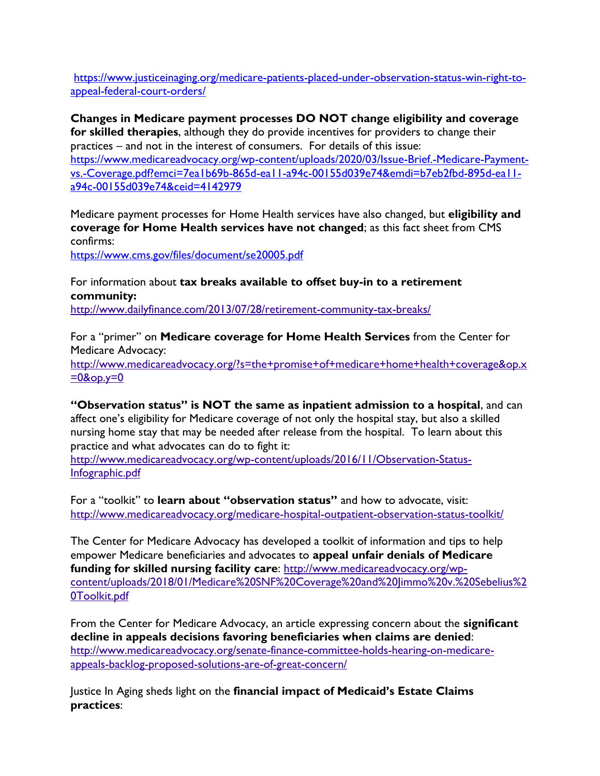[https://www.justiceinaging.org/medicare-patients-placed-under-observation-status-win-right-to](https://www.justiceinaging.org/medicare-patients-placed-under-observation-status-win-right-to-appeal-federal-court-orders/)[appeal-federal-court-orders/](https://www.justiceinaging.org/medicare-patients-placed-under-observation-status-win-right-to-appeal-federal-court-orders/)

**Changes in Medicare payment processes DO NOT change eligibility and coverage for skilled therapies**, although they do provide incentives for providers to change their practices – and not in the interest of consumers. For details of this issue: [https://www.medicareadvocacy.org/wp-content/uploads/2020/03/Issue-Brief.-Medicare-Payment](https://www.medicareadvocacy.org/wp-content/uploads/2020/03/Issue-Brief.-Medicare-Payment-vs.-Coverage.pdf?emci=7ea1b69b-865d-ea11-a94c-00155d039e74&emdi=b7eb2fbd-895d-ea11-a94c-00155d039e74&ceid=4142979)[vs.-Coverage.pdf?emci=7ea1b69b-865d-ea11-a94c-00155d039e74&emdi=b7eb2fbd-895d-ea11](https://www.medicareadvocacy.org/wp-content/uploads/2020/03/Issue-Brief.-Medicare-Payment-vs.-Coverage.pdf?emci=7ea1b69b-865d-ea11-a94c-00155d039e74&emdi=b7eb2fbd-895d-ea11-a94c-00155d039e74&ceid=4142979) [a94c-00155d039e74&ceid=4142979](https://www.medicareadvocacy.org/wp-content/uploads/2020/03/Issue-Brief.-Medicare-Payment-vs.-Coverage.pdf?emci=7ea1b69b-865d-ea11-a94c-00155d039e74&emdi=b7eb2fbd-895d-ea11-a94c-00155d039e74&ceid=4142979)

Medicare payment processes for Home Health services have also changed, but **eligibility and coverage for Home Health services have not changed**; as this fact sheet from CMS confirms:

<https://www.cms.gov/files/document/se20005.pdf>

For information about **tax breaks available to offset buy-in to a retirement community:**

<http://www.dailyfinance.com/2013/07/28/retirement-community-tax-breaks/>

For a "primer" on **Medicare coverage for Home Health Services** from the Center for Medicare Advocacy:

[http://www.medicareadvocacy.org/?s=the+promise+of+medicare+home+health+coverage&op.x](http://www.medicareadvocacy.org/?s=the+promise+of+medicare+home+health+coverage&op.x=0&op.y=0)  $=0$ &op.y=0

**"Observation status" is NOT the same as inpatient admission to a hospital**, and can

affect one's eligibility for Medicare coverage of not only the hospital stay, but also a skilled nursing home stay that may be needed after release from the hospital. To learn about this practice and what advocates can do to fight it:

[http://www.medicareadvocacy.org/wp-content/uploads/2016/11/Observation-Status-](http://www.medicareadvocacy.org/wp-content/uploads/2016/11/Observation-Status-Infographic.pdf)[Infographic.pdf](http://www.medicareadvocacy.org/wp-content/uploads/2016/11/Observation-Status-Infographic.pdf)

For a "toolkit" to **learn about "observation status"** and how to advocate, visit: <http://www.medicareadvocacy.org/medicare-hospital-outpatient-observation-status-toolkit/>

The Center for Medicare Advocacy has developed a toolkit of information and tips to help empower Medicare beneficiaries and advocates to **appeal unfair denials of Medicare funding for skilled nursing facility care**: [http://www.medicareadvocacy.org/wp](http://www.medicareadvocacy.org/wp-content/uploads/2018/01/Medicare%20SNF%20Coverage%20and%20Jimmo%20v.%20Sebelius%20Toolkit.pdf)[content/uploads/2018/01/Medicare%20SNF%20Coverage%20and%20Jimmo%20v.%20Sebelius%2](http://www.medicareadvocacy.org/wp-content/uploads/2018/01/Medicare%20SNF%20Coverage%20and%20Jimmo%20v.%20Sebelius%20Toolkit.pdf) [0Toolkit.pdf](http://www.medicareadvocacy.org/wp-content/uploads/2018/01/Medicare%20SNF%20Coverage%20and%20Jimmo%20v.%20Sebelius%20Toolkit.pdf)

From the Center for Medicare Advocacy, an article expressing concern about the **significant decline in appeals decisions favoring beneficiaries when claims are denied**: [http://www.medicareadvocacy.org/senate-finance-committee-holds-hearing-on-medicare](http://www.medicareadvocacy.org/senate-finance-committee-holds-hearing-on-medicare-appeals-backlog-proposed-solutions-are-of-great-concern/)[appeals-backlog-proposed-solutions-are-of-great-concern/](http://www.medicareadvocacy.org/senate-finance-committee-holds-hearing-on-medicare-appeals-backlog-proposed-solutions-are-of-great-concern/)

Justice In Aging sheds light on the **financial impact of Medicaid's Estate Claims practices**: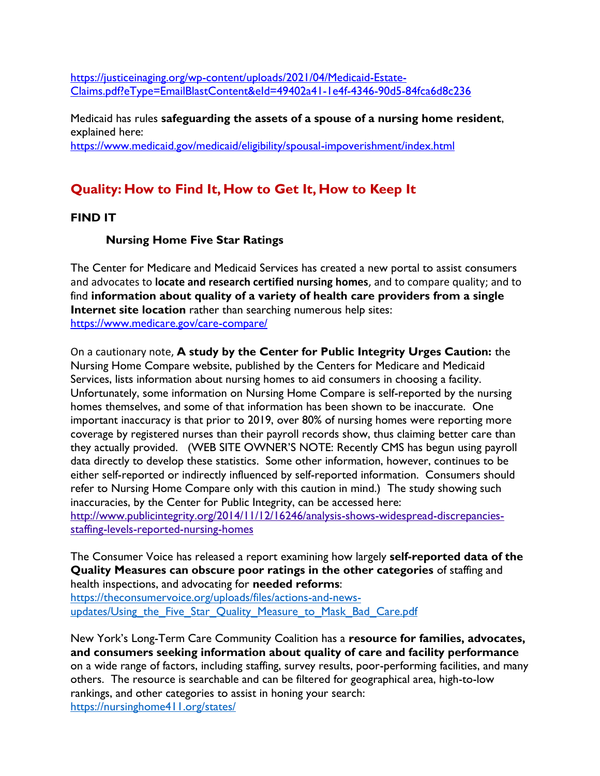[https://justiceinaging.org/wp-content/uploads/2021/04/Medicaid-Estate-](https://justiceinaging.org/wp-content/uploads/2021/04/Medicaid-Estate-Claims.pdf?eType=EmailBlastContent&eId=49402a41-1e4f-4346-90d5-84fca6d8c236)[Claims.pdf?eType=EmailBlastContent&eId=49402a41-1e4f-4346-90d5-84fca6d8c236](https://justiceinaging.org/wp-content/uploads/2021/04/Medicaid-Estate-Claims.pdf?eType=EmailBlastContent&eId=49402a41-1e4f-4346-90d5-84fca6d8c236)

Medicaid has rules **safeguarding the assets of a spouse of a nursing home resident**, explained here: <https://www.medicaid.gov/medicaid/eligibility/spousal-impoverishment/index.html>

# **Quality: How to Find It, How to Get It, How to Keep It**

# **FIND IT**

# **Nursing Home Five Star Ratings**

The Center for Medicare and Medicaid Services has created a new portal to assist consumers and advocates to **locate and research certified nursing homes**, and to compare quality; and to find **information about quality of a variety of health care providers from a single Internet site location** rather than searching numerous help sites: <https://www.medicare.gov/care-compare/>

On a cautionary note, **A study by the Center for Public Integrity Urges Caution:** the Nursing Home Compare website, published by the Centers for Medicare and Medicaid Services, lists information about nursing homes to aid consumers in choosing a facility. Unfortunately, some information on Nursing Home Compare is self-reported by the nursing homes themselves, and some of that information has been shown to be inaccurate. One important inaccuracy is that prior to 2019, over 80% of nursing homes were reporting more coverage by registered nurses than their payroll records show, thus claiming better care than they actually provided. (WEB SITE OWNER'S NOTE: Recently CMS has begun using payroll data directly to develop these statistics. Some other information, however, continues to be either self-reported or indirectly influenced by self-reported information. Consumers should refer to Nursing Home Compare only with this caution in mind.) The study showing such inaccuracies, by the Center for Public Integrity, can be accessed here: [http://www.publicintegrity.org/2014/11/12/16246/analysis-shows-widespread-discrepancies](http://www.publicintegrity.org/2014/11/12/16246/analysis-shows-widespread-discrepancies-staffing-levels-reported-nursing-homes)[staffing-levels-reported-nursing-homes](http://www.publicintegrity.org/2014/11/12/16246/analysis-shows-widespread-discrepancies-staffing-levels-reported-nursing-homes)

The Consumer Voice has released a report examining how largely **self-reported data of the Quality Measures can obscure poor ratings in the other categories** of staffing and health inspections, and advocating for **needed reforms**:

[https://theconsumervoice.org/uploads/files/actions-and-news](https://theconsumervoice.org/uploads/files/actions-and-news-updates/Using_the_Five_Star_Quality_Measure_to_Mask_Bad_Care.pdf)updates/Using the Five Star Quality Measure to Mask Bad Care.pdf

New York's Long-Term Care Community Coalition has a **resource for families, advocates, and consumers seeking information about quality of care and facility performance** on a wide range of factors, including staffing, survey results, poor-performing facilities, and many others. The resource is searchable and can be filtered for geographical area, high-to-low rankings, and other categories to assist in honing your search: <https://nursinghome411.org/states/>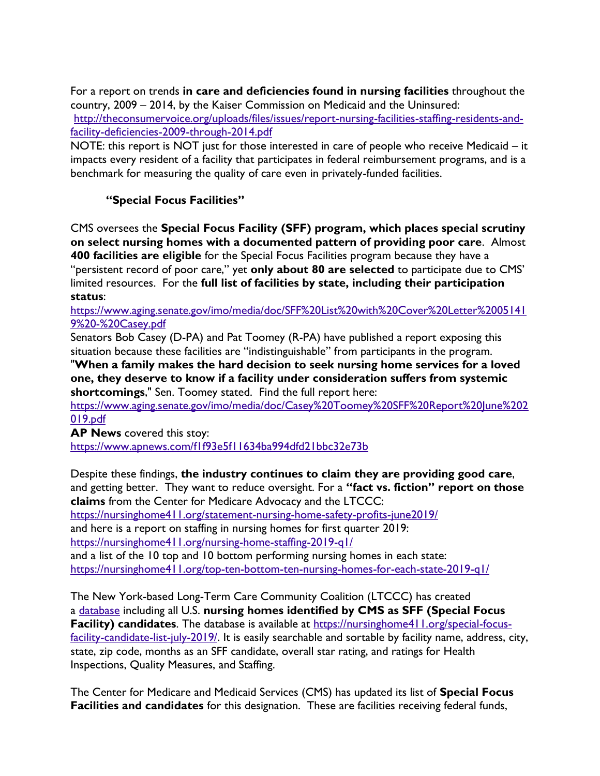For a report on trends **in care and deficiencies found in nursing facilities** throughout the country, 2009 – 2014, by the Kaiser Commission on Medicaid and the Uninsured:

[http://theconsumervoice.org/uploads/files/issues/report-nursing-facilities-staffing-residents-and](http://theconsumervoice.org/uploads/files/issues/report-nursing-facilities-staffing-residents-and-facility-deficiencies-2009-through-2014.pdf)[facility-deficiencies-2009-through-2014.pdf](http://theconsumervoice.org/uploads/files/issues/report-nursing-facilities-staffing-residents-and-facility-deficiencies-2009-through-2014.pdf)

NOTE: this report is NOT just for those interested in care of people who receive Medicaid – it impacts every resident of a facility that participates in federal reimbursement programs, and is a benchmark for measuring the quality of care even in privately-funded facilities.

# **"Special Focus Facilities"**

CMS oversees the **Special Focus Facility (SFF) program, which places special scrutiny on select nursing homes with a documented pattern of providing poor care**. Almost **400 facilities are eligible** for the Special Focus Facilities program because they have a "persistent record of poor care," yet **only about 80 are selected** to participate due to CMS' limited resources. For the **full list of facilities by state, including their participation status**:

[https://www.aging.senate.gov/imo/media/doc/SFF%20List%20with%20Cover%20Letter%2005141](https://www.aging.senate.gov/imo/media/doc/SFF%20List%20with%20Cover%20Letter%20051419%20-%20Casey.pdf) [9%20-%20Casey.pdf](https://www.aging.senate.gov/imo/media/doc/SFF%20List%20with%20Cover%20Letter%20051419%20-%20Casey.pdf)

Senators Bob Casey (D-PA) and Pat Toomey (R-PA) have published a report exposing this situation because these facilities are "indistinguishable" from participants in the program.

"**When a family makes the hard decision to seek nursing home services for a loved one, they deserve to know if a facility under consideration suffers from systemic shortcomings**," Sen. Toomey stated. Find the full report here:

[https://www.aging.senate.gov/imo/media/doc/Casey%20Toomey%20SFF%20Report%20June%202](https://www.aging.senate.gov/imo/media/doc/Casey%20Toomey%20SFF%20Report%20June%202019.pdf) [019.pdf](https://www.aging.senate.gov/imo/media/doc/Casey%20Toomey%20SFF%20Report%20June%202019.pdf)

**AP News** covered this stoy: <https://www.apnews.com/f1f93e5f11634ba994dfd21bbc32e73b>

Despite these findings, **the industry continues to claim they are providing good care**, and getting better. They want to reduce oversight. For a **"fact vs. fiction" report on those claims** from the Center for Medicare Advocacy and the LTCCC:

<https://nursinghome411.org/statement-nursing-home-safety-profits-june2019/>

and here is a report on staffing in nursing homes for first quarter 2019:

<https://nursinghome411.org/nursing-home-staffing-2019-q1/>

and a list of the 10 top and 10 bottom performing nursing homes in each state: <https://nursinghome411.org/top-ten-bottom-ten-nursing-homes-for-each-state-2019-q1/>

The New York-based Long-Term Care Community Coalition (LTCCC) has created a [database](https://click.everyaction.com/k/8669059/84247128/760096551?nvep=ew0KICAiVGVuYW50VXJpIjogIm5ncHZhbjovL3Zhbi9FQS9FQTAwMi8xLzYzODUyIiwNCiAgIkRpc3RyaWJ1dGlvblVuaXF1ZUlkIjogIjljNDkzOTQ4LWYzYjItZTkxMS1iY2QwLTI4MTg3ODM5MWVmYiIsDQogICJFbWFpbEFkZHJlc3MiOiAia2hheWI1NUBhb2wuY29tIg0KfQ%3D%3D&hmac=AjvLTiXVLpz86jqoZVW7UYogFDhd8G4l2VL7iiu5sBk=) including all U.S. **nursing homes identified by CMS as SFF (Special Focus Facility) candidates**. The database is available at [https://nursinghome411.org/special-focus](https://click.everyaction.com/k/8669060/84247129/760096551?nvep=ew0KICAiVGVuYW50VXJpIjogIm5ncHZhbjovL3Zhbi9FQS9FQTAwMi8xLzYzODUyIiwNCiAgIkRpc3RyaWJ1dGlvblVuaXF1ZUlkIjogIjljNDkzOTQ4LWYzYjItZTkxMS1iY2QwLTI4MTg3ODM5MWVmYiIsDQogICJFbWFpbEFkZHJlc3MiOiAia2hheWI1NUBhb2wuY29tIg0KfQ%3D%3D&hmac=AjvLTiXVLpz86jqoZVW7UYogFDhd8G4l2VL7iiu5sBk=)[facility-candidate-list-july-2019/.](https://click.everyaction.com/k/8669060/84247129/760096551?nvep=ew0KICAiVGVuYW50VXJpIjogIm5ncHZhbjovL3Zhbi9FQS9FQTAwMi8xLzYzODUyIiwNCiAgIkRpc3RyaWJ1dGlvblVuaXF1ZUlkIjogIjljNDkzOTQ4LWYzYjItZTkxMS1iY2QwLTI4MTg3ODM5MWVmYiIsDQogICJFbWFpbEFkZHJlc3MiOiAia2hheWI1NUBhb2wuY29tIg0KfQ%3D%3D&hmac=AjvLTiXVLpz86jqoZVW7UYogFDhd8G4l2VL7iiu5sBk=) It is easily searchable and sortable by facility name, address, city, state, zip code, months as an SFF candidate, overall star rating, and ratings for Health Inspections, Quality Measures, and Staffing.

The Center for Medicare and Medicaid Services (CMS) has updated its list of **Special Focus Facilities and candidates** for this designation. These are facilities receiving federal funds,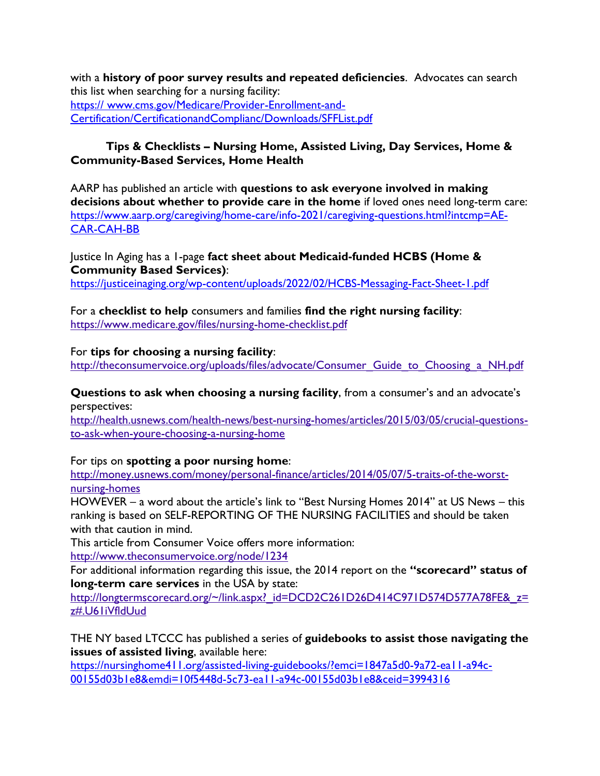with a **history of poor survey results and repeated deficiencies**. Advocates can search this list when searching for a nursing facility: https:// www.cms.gov/Medicare/Provider-Enrollment-and-Certification/CertificationandComplianc/Downloads/SFFList.pdf

#### **Tips & Checklists – Nursing Home, Assisted Living, Day Services, Home & Community-Based Services, Home Health**

AARP has published an article with **questions to ask everyone involved in making decisions about whether to provide care in the home** if loved ones need long-term care: [https://www.aarp.org/caregiving/home-care/info-2021/caregiving-questions.html?intcmp=AE-](https://www.aarp.org/caregiving/home-care/info-2021/caregiving-questions.html?intcmp=AE-CAR-CAH-BB)[CAR-CAH-BB](https://www.aarp.org/caregiving/home-care/info-2021/caregiving-questions.html?intcmp=AE-CAR-CAH-BB)

Justice In Aging has a 1-page **fact sheet about Medicaid-funded HCBS (Home & Community Based Services)**: <https://justiceinaging.org/wp-content/uploads/2022/02/HCBS-Messaging-Fact-Sheet-1.pdf>

For a **checklist to help** consumers and families **find the right nursing facility**: <https://www.medicare.gov/files/nursing-home-checklist.pdf>

For **tips for choosing a nursing facility**:

[http://theconsumervoice.org/uploads/files/advocate/Consumer\\_Guide\\_to\\_Choosing\\_a\\_NH.pdf](http://theconsumervoice.org/uploads/files/advocate/Consumer_Guide_to_Choosing_a_NH.pdf)

**Questions to ask when choosing a nursing facility**, from a consumer's and an advocate's perspectives:

[http://health.usnews.com/health-news/best-nursing-homes/articles/2015/03/05/crucial-questions](http://health.usnews.com/health-news/best-nursing-homes/articles/2015/03/05/crucial-questions-to-ask-when-youre-choosing-a-nursing-home)[to-ask-when-youre-choosing-a-nursing-home](http://health.usnews.com/health-news/best-nursing-homes/articles/2015/03/05/crucial-questions-to-ask-when-youre-choosing-a-nursing-home)

#### For tips on **spotting a poor nursing home**:

[http://money.usnews.com/money/personal-finance/articles/2014/05/07/5-traits-of-the-worst](http://money.usnews.com/money/personal-finance/articles/2014/05/07/5-traits-of-the-worst-nursing-homes)[nursing-homes](http://money.usnews.com/money/personal-finance/articles/2014/05/07/5-traits-of-the-worst-nursing-homes)

HOWEVER – a word about the article's link to "Best Nursing Homes 2014" at US News – this ranking is based on SELF-REPORTING OF THE NURSING FACILITIES and should be taken with that caution in mind.

This article from Consumer Voice offers more information: <http://www.theconsumervoice.org/node/1234>

For additional information regarding this issue, the 2014 report on the **"scorecard" status of long-term care services** in the USA by state:

[http://longtermscorecard.org/~/link.aspx?\\_id=DCD2C261D26D414C971D574D577A78FE&\\_z=](http://longtermscorecard.org/~/link.aspx?_id=DCD2C261D26D414C971D574D577A78FE&_z=z#.U61iVfldUud) [z#.U61iVfldUud](http://longtermscorecard.org/~/link.aspx?_id=DCD2C261D26D414C971D574D577A78FE&_z=z#.U61iVfldUud)

THE NY based LTCCC has published a series of **guidebooks to assist those navigating the issues of assisted living**, available here:

[https://nursinghome411.org/assisted-living-guidebooks/?emci=1847a5d0-9a72-ea11-a94c-](https://nursinghome411.org/assisted-living-guidebooks/?emci=1847a5d0-9a72-ea11-a94c-00155d03b1e8&emdi=10f5448d-5c73-ea11-a94c-00155d03b1e8&ceid=3994316)[00155d03b1e8&emdi=10f5448d-5c73-ea11-a94c-00155d03b1e8&ceid=3994316](https://nursinghome411.org/assisted-living-guidebooks/?emci=1847a5d0-9a72-ea11-a94c-00155d03b1e8&emdi=10f5448d-5c73-ea11-a94c-00155d03b1e8&ceid=3994316)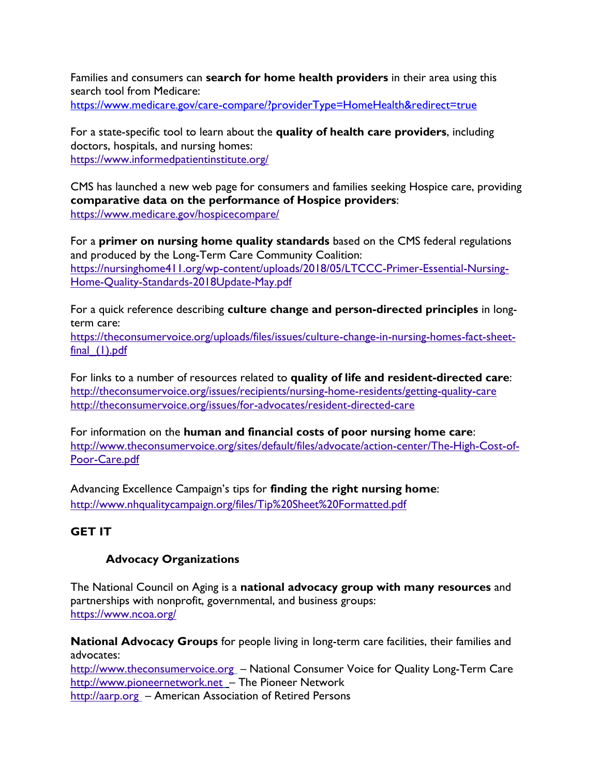Families and consumers can **search for home health providers** in their area using this search tool from Medicare:

<https://www.medicare.gov/care-compare/?providerType=HomeHealth&redirect=true>

For a state-specific tool to learn about the **quality of health care providers**, including doctors, hospitals, and nursing homes: <https://www.informedpatientinstitute.org/>

CMS has launched a new web page for consumers and families seeking Hospice care, providing **comparative data on the performance of Hospice providers**: <https://www.medicare.gov/hospicecompare/>

For a **primer on nursing home quality standards** based on the CMS federal regulations and produced by the Long-Term Care Community Coalition: [https://nursinghome411.org/wp-content/uploads/2018/05/LTCCC-Primer-Essential-Nursing-](https://nursinghome411.org/wp-content/uploads/2018/05/LTCCC-Primer-Essential-Nursing-Home-Quality-Standards-2018Update-May.pdf)[Home-Quality-Standards-2018Update-May.pdf](https://nursinghome411.org/wp-content/uploads/2018/05/LTCCC-Primer-Essential-Nursing-Home-Quality-Standards-2018Update-May.pdf)

For a quick reference describing **culture change and person-directed principles** in longterm care:

[https://theconsumervoice.org/uploads/files/issues/culture-change-in-nursing-homes-fact-sheet](https://theconsumervoice.org/uploads/files/issues/culture-change-in-nursing-homes-fact-sheet-final_(1).pdf)final (1).pdf

For links to a number of resources related to **quality of life and resident-directed care**: <http://theconsumervoice.org/issues/recipients/nursing-home-residents/getting-quality-care> <http://theconsumervoice.org/issues/for-advocates/resident-directed-care>

For information on the **human and financial costs of poor nursing home care**: [http://www.theconsumervoice.org/sites/default/files/advocate/action-center/The-High-Cost-of-](http://www.theconsumervoice.org/sites/default/files/advocate/action-center/The-High-Cost-of-Poor-Care.pdf)[Poor-Care.pdf](http://www.theconsumervoice.org/sites/default/files/advocate/action-center/The-High-Cost-of-Poor-Care.pdf)

Advancing Excellence Campaign's tips for **finding the right nursing home**: <http://www.nhqualitycampaign.org/files/Tip%20Sheet%20Formatted.pdf>

# **GET IT**

#### **Advocacy Organizations**

The National Council on Aging is a **national advocacy group with many resources** and partnerships with nonprofit, governmental, and business groups: <https://www.ncoa.org/>

**National Advocacy Groups** for people living in long-term care facilities, their families and advocates:

[http://www.theconsumervoice.org](http://www.theconsumervoice.org/) – National Consumer Voice for Quality Long-Term Care [http://www.pioneernetwork.net](http://www.pioneernetwork.net/) – The Pioneer Network [http://aarp.org](http://aarp.org/) – American Association of Retired Persons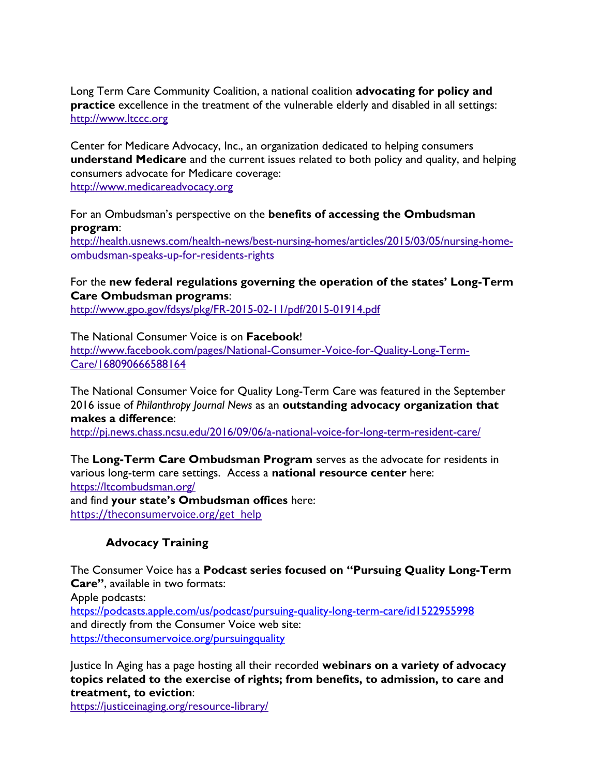Long Term Care Community Coalition, a national coalition **advocating for policy and practice** excellence in the treatment of the vulnerable elderly and disabled in all settings: [http://www.ltccc.org](http://www.ltccc.org/)

Center for Medicare Advocacy, Inc., an organization dedicated to helping consumers **understand Medicare** and the current issues related to both policy and quality, and helping consumers advocate for Medicare coverage:

[http://www.medicareadvocacy.org](http://www.medicareadvocacy.org/)

For an Ombudsman's perspective on the **benefits of accessing the Ombudsman program**:

[http://health.usnews.com/health-news/best-nursing-homes/articles/2015/03/05/nursing-home](http://health.usnews.com/health-news/best-nursing-homes/articles/2015/03/05/nursing-home-ombudsman-speaks-up-for-residents-rights)[ombudsman-speaks-up-for-residents-rights](http://health.usnews.com/health-news/best-nursing-homes/articles/2015/03/05/nursing-home-ombudsman-speaks-up-for-residents-rights)

#### For the **new federal regulations governing the operation of the states' Long-Term Care Ombudsman programs**:

<http://www.gpo.gov/fdsys/pkg/FR-2015-02-11/pdf/2015-01914.pdf>

The National Consumer Voice is on **Facebook**! [http://www.facebook.com/pages/National-Consumer-Voice-for-Quality-Long-Term-](http://www.facebook.com/pages/National-Consumer-Voice-for-Quality-Long-Term-Care/168090666588164)[Care/168090666588164](http://www.facebook.com/pages/National-Consumer-Voice-for-Quality-Long-Term-Care/168090666588164)

The National Consumer Voice for Quality Long-Term Care was featured in the September 2016 issue of *Philanthropy Journal News* as an **outstanding advocacy organization that makes a difference**: <http://pj.news.chass.ncsu.edu/2016/09/06/a-national-voice-for-long-term-resident-care/>

The **Long-Term Care Ombudsman Program** serves as the advocate for residents in various long-term care settings. Access a **national resource center** here: <https://ltcombudsman.org/> and find **your state's Ombudsman offices** here: [https://theconsumervoice.org/get\\_help](https://theconsumervoice.org/get_help)

#### **Advocacy Training**

The Consumer Voice has a **Podcast series focused on "Pursuing Quality Long-Term Care"**, available in two formats:

Apple podcasts:

<https://podcasts.apple.com/us/podcast/pursuing-quality-long-term-care/id1522955998> and directly from the Consumer Voice web site: <https://theconsumervoice.org/pursuingquality>

Justice In Aging has a page hosting all their recorded **webinars on a variety of advocacy topics related to the exercise of rights; from benefits, to admission, to care and treatment, to eviction**:

<https://justiceinaging.org/resource-library/>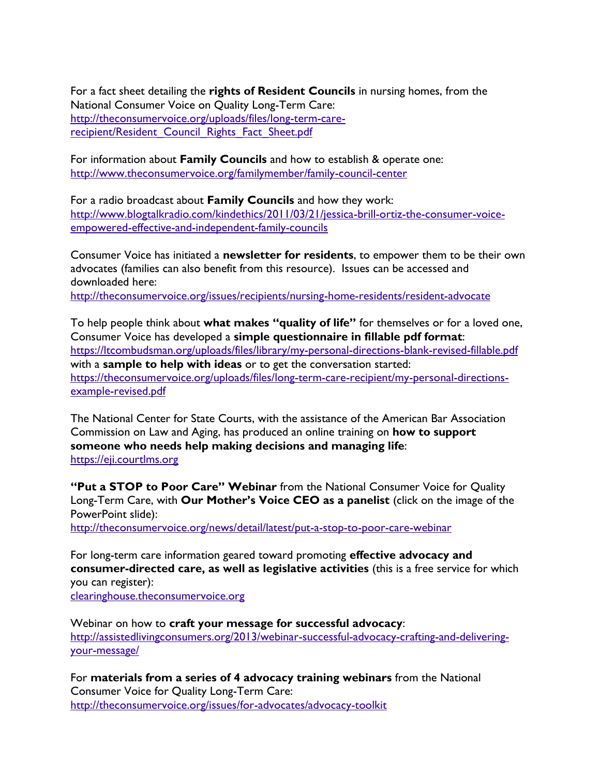For a fact sheet detailing the **rights of Resident Councils** in nursing homes, from the National Consumer Voice on Quality Long-Term Care: [http://theconsumervoice.org/uploads/files/long-term-care](http://theconsumervoice.org/uploads/files/long-term-care-recipient/Resident_Council_Rights_Fact_Sheet.pdf)recipient/Resident Council Rights Fact Sheet.pdf

For information about **Family Councils** and how to establish & operate one: <http://www.theconsumervoice.org/familymember/family-council-center>

For a radio broadcast about **Family Councils** and how they work: [http://www.blogtalkradio.com/kindethics/2011/03/21/jessica-brill-ortiz-the-consumer-voice](http://www.blogtalkradio.com/kindethics/2011/03/21/jessica-brill-ortiz-the-consumer-voice-empowered-effective-and-independent-family-councils)[empowered-effective-and-independent-family-councils](http://www.blogtalkradio.com/kindethics/2011/03/21/jessica-brill-ortiz-the-consumer-voice-empowered-effective-and-independent-family-councils)

Consumer Voice has initiated a **newsletter for residents**, to empower them to be their own advocates (families can also benefit from this resource). Issues can be accessed and downloaded here:

<http://theconsumervoice.org/issues/recipients/nursing-home-residents/resident-advocate>

To help people think about **what makes "quality of life"** for themselves or for a loved one, Consumer Voice has developed a **simple questionnaire in fillable pdf format**: <https://ltcombudsman.org/uploads/files/library/my-personal-directions-blank-revised-fillable.pdf> with a **sample to help with ideas** or to get the conversation started: [https://theconsumervoice.org/uploads/files/long-term-care-recipient/my-personal-directions](https://theconsumervoice.org/uploads/files/long-term-care-recipient/my-personal-directions-example-revised.pdf)[example-revised.pdf](https://theconsumervoice.org/uploads/files/long-term-care-recipient/my-personal-directions-example-revised.pdf)

The National Center for State Courts, with the assistance of the American Bar Association Commission on Law and Aging, has produced an online training on **how to support someone who needs help making decisions and managing life**: [https://eji.courtlms.org](https://urldefense.proofpoint.com/v2/url?u=https-3A__eji.courtlms.org&d=DwMFAg&c=l2yuVHfpC_9lAv0gltv6ZQ&r=ZQX-04i_5idSaM8OXkeBwsfjed7-A9HsaXIz9wB-RpU&m=JnkwgnRvxKgWOTGGrgGu76ZVlxBtRoDKjttAIfxyvK8&s=aii7UtNhbQhb3hTLat5kTLHds5KdDMEmNTHrNeitIx8&e=)

**"Put a STOP to Poor Care" Webinar** from the National Consumer Voice for Quality Long-Term Care, with **Our Mother's Voice CEO as a panelist** (click on the image of the PowerPoint slide):

<http://theconsumervoice.org/news/detail/latest/put-a-stop-to-poor-care-webinar>

For long-term care information geared toward promoting **effective advocacy and consumer-directed care, as well as legislative activities** (this is a free service for which you can register): [clearinghouse.theconsumervoice.org](http://wfc2.wiredforchange.com/dia/track.jsp?v=2&c=%2BIKp4yy4kg%2FuXAENK91aGvyQ4037lwA%2F)

Webinar on how to **craft your message for successful advocacy**: [http://assistedlivingconsumers.org/2013/webinar-successful-advocacy-crafting-and-delivering](http://assistedlivingconsumers.org/2013/webinar-successful-advocacy-crafting-and-delivering-your-message/)[your-message/](http://assistedlivingconsumers.org/2013/webinar-successful-advocacy-crafting-and-delivering-your-message/) 

For **materials from a series of 4 advocacy training webinars** from the National Consumer Voice for Quality Long-Term Care: <http://theconsumervoice.org/issues/for-advocates/advocacy-toolkit>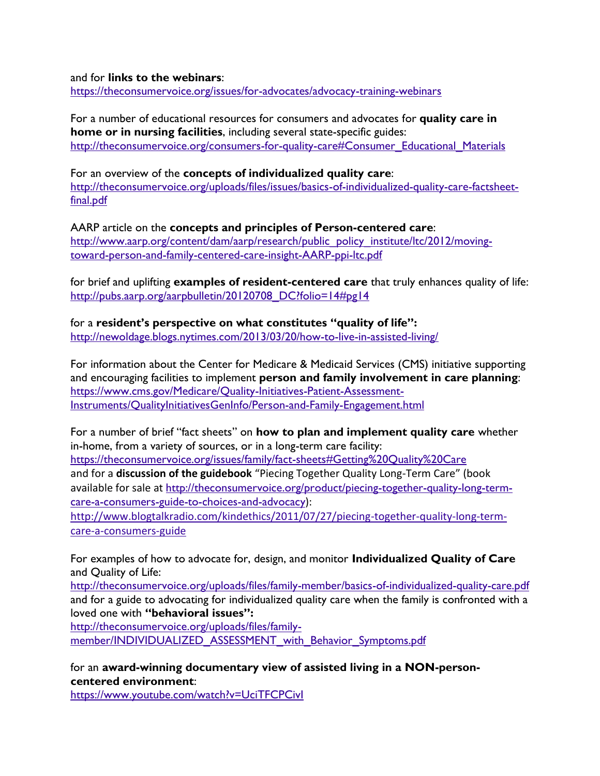and for **links to the webinars**:

<https://theconsumervoice.org/issues/for-advocates/advocacy-training-webinars>

For a number of educational resources for consumers and advocates for **quality care in home or in nursing facilities**, including several state-specific guides: [http://theconsumervoice.org/consumers-for-quality-care#Consumer\\_Educational\\_Materials](http://theconsumervoice.org/consumers-for-quality-care#Consumer_Educational_Materials)

For an overview of the **concepts of individualized quality care**: [http://theconsumervoice.org/uploads/files/issues/basics-of-individualized-quality-care-factsheet](http://theconsumervoice.org/uploads/files/issues/basics-of-individualized-quality-care-factsheet-final.pdf)[final.pdf](http://theconsumervoice.org/uploads/files/issues/basics-of-individualized-quality-care-factsheet-final.pdf)

AARP article on the **concepts and principles of Person-centered care**: [http://www.aarp.org/content/dam/aarp/research/public\\_policy\\_institute/ltc/2012/moving](http://www.aarp.org/content/dam/aarp/research/public_policy_institute/ltc/2012/moving-toward-person-and-family-centered-care-insight-AARP-ppi-ltc.pdf)[toward-person-and-family-centered-care-insight-AARP-ppi-ltc.pdf](http://www.aarp.org/content/dam/aarp/research/public_policy_institute/ltc/2012/moving-toward-person-and-family-centered-care-insight-AARP-ppi-ltc.pdf)

for brief and uplifting **examples of resident-centered care** that truly enhances quality of life: http://pubs.aarp.org/aarpbulletin/20120708 DC?folio=14#pg14

for a **resident's perspective on what constitutes "quality of life":** <http://newoldage.blogs.nytimes.com/2013/03/20/how-to-live-in-assisted-living/>

For information about the Center for Medicare & Medicaid Services (CMS) initiative supporting and encouraging facilities to implement **person and family involvement in care planning**: [https://www.cms.gov/Medicare/Quality-Initiatives-Patient-Assessment-](https://www.cms.gov/Medicare/Quality-Initiatives-Patient-Assessment-Instruments/QualityInitiativesGenInfo/Person-and-Family-Engagement.html)[Instruments/QualityInitiativesGenInfo/Person-and-Family-Engagement.html](https://www.cms.gov/Medicare/Quality-Initiatives-Patient-Assessment-Instruments/QualityInitiativesGenInfo/Person-and-Family-Engagement.html)

For a number of brief "fact sheets" on **how to plan and implement quality care** whether in-home, from a variety of sources, or in a long-term care facility: <https://theconsumervoice.org/issues/family/fact-sheets#Getting%20Quality%20Care> and for a **discussion of the guidebook** "Piecing Together Quality Long-Term Care" (book available for sale at [http://theconsumervoice.org/product/piecing-together-quality-long-term](http://theconsumervoice.org/product/piecing-together-quality-long-term-care-a-consumers-guide-to-choices-and-advocacy)[care-a-consumers-guide-to-choices-and-advocacy](http://theconsumervoice.org/product/piecing-together-quality-long-term-care-a-consumers-guide-to-choices-and-advocacy)):

[http://www.blogtalkradio.com/kindethics/2011/07/27/piecing-together-quality-long-term](http://www.blogtalkradio.com/kindethics/2011/07/27/piecing-together-quality-long-term-care-a-consumers-guide)[care-a-consumers-guide](http://www.blogtalkradio.com/kindethics/2011/07/27/piecing-together-quality-long-term-care-a-consumers-guide)

For examples of how to advocate for, design, and monitor **Individualized Quality of Care** and Quality of Life:

<http://theconsumervoice.org/uploads/files/family-member/basics-of-individualized-quality-care.pdf> and for a guide to advocating for individualized quality care when the family is confronted with a loved one with **"behavioral issues":**

[http://theconsumervoice.org/uploads/files/family-](http://theconsumervoice.org/uploads/files/family-member/INDIVIDUALIZED_ASSESSMENT_with_Behavior_Symptoms.pdf)

[member/INDIVIDUALIZED\\_ASSESSMENT\\_with\\_Behavior\\_Symptoms.pdf](http://theconsumervoice.org/uploads/files/family-member/INDIVIDUALIZED_ASSESSMENT_with_Behavior_Symptoms.pdf)

for an **award-winning documentary view of assisted living in a NON-personcentered environment**:

<https://www.youtube.com/watch?v=UciTFCPCivI>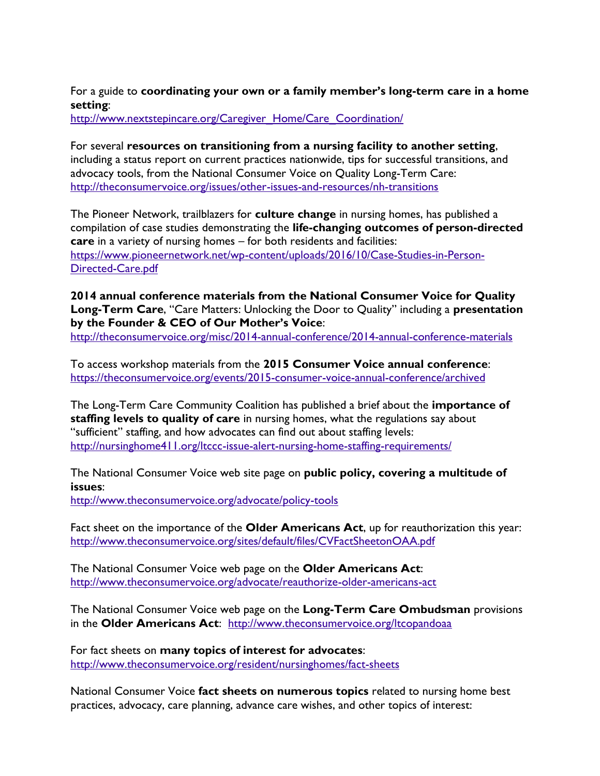#### For a guide to **coordinating your own or a family member's long-term care in a home setting**:

http://www.nextstepincare.org/Caregiver\_Home/Care\_Coordination/

For several **resources on transitioning from a nursing facility to another setting**, including a status report on current practices nationwide, tips for successful transitions, and advocacy tools, from the National Consumer Voice on Quality Long-Term Care: <http://theconsumervoice.org/issues/other-issues-and-resources/nh-transitions>

The Pioneer Network, trailblazers for **culture change** in nursing homes, has published a compilation of case studies demonstrating the **life-changing outcomes of person-directed care** in a variety of nursing homes – for both residents and facilities: [https://www.pioneernetwork.net/wp-content/uploads/2016/10/Case-Studies-in-Person-](https://www.pioneernetwork.net/wp-content/uploads/2016/10/Case-Studies-in-Person-Directed-Care.pdf)[Directed-Care.pdf](https://www.pioneernetwork.net/wp-content/uploads/2016/10/Case-Studies-in-Person-Directed-Care.pdf)

**2014 annual conference materials from the National Consumer Voice for Quality Long-Term Care**, "Care Matters: Unlocking the Door to Quality" including a **presentation by the Founder & CEO of Our Mother's Voice**:

<http://theconsumervoice.org/misc/2014-annual-conference/2014-annual-conference-materials>

To access workshop materials from the **2015 Consumer Voice annual conference**: <https://theconsumervoice.org/events/2015-consumer-voice-annual-conference/archived>

The Long-Term Care Community Coalition has published a brief about the **importance of staffing levels to quality of care** in nursing homes, what the regulations say about "sufficient" staffing, and how advocates can find out about staffing levels: <http://nursinghome411.org/ltccc-issue-alert-nursing-home-staffing-requirements/>

The National Consumer Voice web site page on **public policy, covering a multitude of issues**:

<http://www.theconsumervoice.org/advocate/policy-tools>

Fact sheet on the importance of the **Older Americans Act**, up for reauthorization this year: <http://www.theconsumervoice.org/sites/default/files/CVFactSheetonOAA.pdf>

The National Consumer Voice web page on the **Older Americans Act**: <http://www.theconsumervoice.org/advocate/reauthorize-older-americans-act>

The National Consumer Voice web page on the **Long-Term Care Ombudsman** provisions in the **Older Americans Act**: <http://www.theconsumervoice.org/ltcopandoaa>

For fact sheets on **many topics of interest for advocates**: <http://www.theconsumervoice.org/resident/nursinghomes/fact-sheets>

National Consumer Voice **fact sheets on numerous topics** related to nursing home best practices, advocacy, care planning, advance care wishes, and other topics of interest: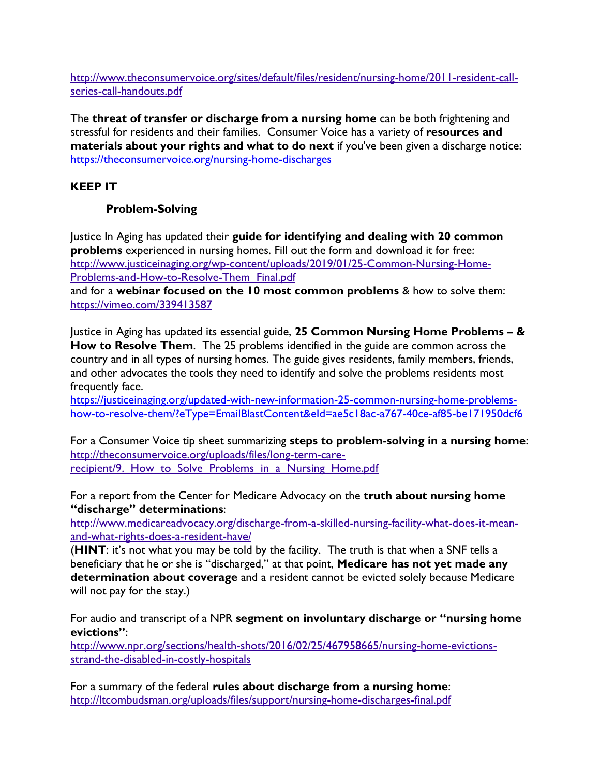[http://www.theconsumervoice.org/sites/default/files/resident/nursing-home/2011-resident-call](http://www.theconsumervoice.org/sites/default/files/resident/nursing-home/2011-resident-call-series-call-handouts.pdf)[series-call-handouts.pdf](http://www.theconsumervoice.org/sites/default/files/resident/nursing-home/2011-resident-call-series-call-handouts.pdf) 

The **threat of transfer or discharge from a nursing home** can be both frightening and stressful for residents and their families. Consumer Voice has a variety of **resources and materials about your rights and what to do next** if you've been given a discharge notice: <https://theconsumervoice.org/nursing-home-discharges>

# **KEEP IT**

# **Problem-Solving**

Justice In Aging has updated their **guide for identifying and dealing with 20 common problems** experienced in nursing homes. Fill out the form and download it for free: [http://www.justiceinaging.org/wp-content/uploads/2019/01/25-Common-Nursing-Home-](http://www.justiceinaging.org/wp-content/uploads/2019/01/25-Common-Nursing-Home-Problems-and-How-to-Resolve-Them_Final.pdf)[Problems-and-How-to-Resolve-Them\\_Final.pdf](http://www.justiceinaging.org/wp-content/uploads/2019/01/25-Common-Nursing-Home-Problems-and-How-to-Resolve-Them_Final.pdf)

and for a **webinar focused on the 10 most common problems** & how to solve them: <https://vimeo.com/339413587>

Justice in Aging has updated its essential guide, **25 Common Nursing Home Problems – & How to Resolve Them**. The 25 problems identified in the guide are common across the country and in all types of nursing homes. The guide gives residents, family members, friends, and other advocates the tools they need to identify and solve the problems residents most frequently face.

[https://justiceinaging.org/updated-with-new-information-25-common-nursing-home-problems](https://justiceinaging.org/updated-with-new-information-25-common-nursing-home-problems-how-to-resolve-them/?eType=EmailBlastContent&eId=ae5c18ac-a767-40ce-af85-be171950dcf6)[how-to-resolve-them/?eType=EmailBlastContent&eId=ae5c18ac-a767-40ce-af85-be171950dcf6](https://justiceinaging.org/updated-with-new-information-25-common-nursing-home-problems-how-to-resolve-them/?eType=EmailBlastContent&eId=ae5c18ac-a767-40ce-af85-be171950dcf6)

For a Consumer Voice tip sheet summarizing **steps to problem-solving in a nursing home**: [http://theconsumervoice.org/uploads/files/long-term-care](http://theconsumervoice.org/uploads/files/long-term-care-recipient/9._How_to_Solve_Problems_in_a_Nursing_Home.pdf)recipient/9. How to Solve Problems in a Nursing Home.pdf

For a report from the Center for Medicare Advocacy on the **truth about nursing home "discharge" determinations**:

[http://www.medicareadvocacy.org/discharge-from-a-skilled-nursing-facility-what-does-it-mean](http://www.medicareadvocacy.org/discharge-from-a-skilled-nursing-facility-what-does-it-mean-and-what-rights-does-a-resident-have/)[and-what-rights-does-a-resident-have/](http://www.medicareadvocacy.org/discharge-from-a-skilled-nursing-facility-what-does-it-mean-and-what-rights-does-a-resident-have/) 

(**HINT**: it's not what you may be told by the facility. The truth is that when a SNF tells a beneficiary that he or she is "discharged," at that point, **Medicare has not yet made any determination about coverage** and a resident cannot be evicted solely because Medicare will not pay for the stay.)

For audio and transcript of a NPR **segment on involuntary discharge or "nursing home evictions"**:

[http://www.npr.org/sections/health-shots/2016/02/25/467958665/nursing-home-evictions](http://www.npr.org/sections/health-shots/2016/02/25/467958665/nursing-home-evictions-strand-the-disabled-in-costly-hospitals)[strand-the-disabled-in-costly-hospitals](http://www.npr.org/sections/health-shots/2016/02/25/467958665/nursing-home-evictions-strand-the-disabled-in-costly-hospitals)

For a summary of the federal **rules about discharge from a nursing home**: <http://ltcombudsman.org/uploads/files/support/nursing-home-discharges-final.pdf>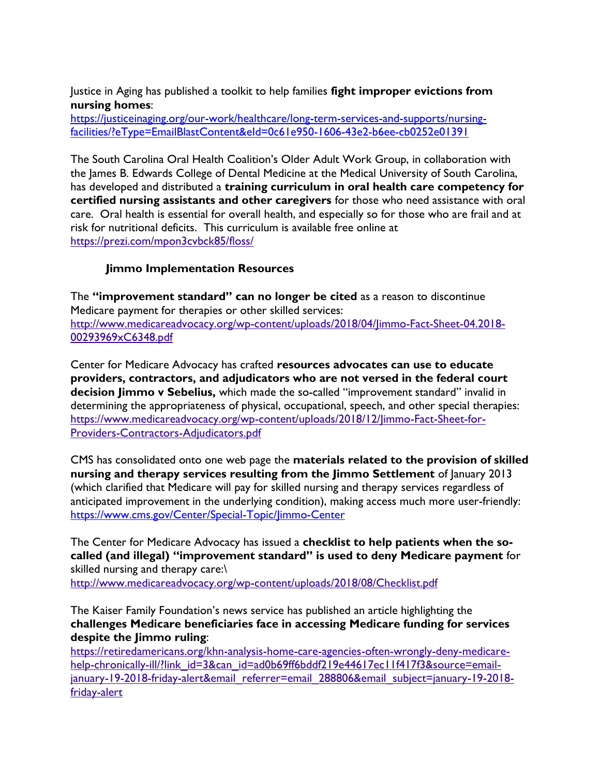Justice in Aging has published a toolkit to help families **fight improper evictions from nursing homes**:

[https://justiceinaging.org/our-work/healthcare/long-term-services-and-supports/nursing](https://justiceinaging.org/our-work/healthcare/long-term-services-and-supports/nursing-facilities/?eType=EmailBlastContent&eId=0c61e950-1606-43e2-b6ee-cb0252e01391)[facilities/?eType=EmailBlastContent&eId=0c61e950-1606-43e2-b6ee-cb0252e01391](https://justiceinaging.org/our-work/healthcare/long-term-services-and-supports/nursing-facilities/?eType=EmailBlastContent&eId=0c61e950-1606-43e2-b6ee-cb0252e01391)

The South Carolina Oral Health Coalition's Older Adult Work Group, in collaboration with the James B. Edwards College of Dental Medicine at the Medical University of South Carolina, has developed and distributed a **training curriculum in oral health care competency for certified nursing assistants and other caregivers** for those who need assistance with oral care. Oral health is essential for overall health, and especially so for those who are frail and at risk for nutritional deficits. This curriculum is available free online at <https://prezi.com/mpon3cvbck85/floss/>

# **Jimmo Implementation Resources**

The **"improvement standard" can no longer be cited** as a reason to discontinue Medicare payment for therapies or other skilled services: [http://www.medicareadvocacy.org/wp-content/uploads/2018/04/Jimmo-Fact-Sheet-04.2018-](http://www.medicareadvocacy.org/wp-content/uploads/2018/04/Jimmo-Fact-Sheet-04.2018-00293969xC6348.pdf) [00293969xC6348.pdf](http://www.medicareadvocacy.org/wp-content/uploads/2018/04/Jimmo-Fact-Sheet-04.2018-00293969xC6348.pdf)

Center for Medicare Advocacy has crafted **resources advocates can use to educate providers, contractors, and adjudicators who are not versed in the federal court decision Jimmo v Sebelius,** which made the so-called "improvement standard" invalid in determining the appropriateness of physical, occupational, speech, and other special therapies: [https://www.medicareadvocacy.org/wp-content/uploads/2018/12/Jimmo-Fact-Sheet-for-](https://www.medicareadvocacy.org/wp-content/uploads/2018/12/Jimmo-Fact-Sheet-for-Providers-Contractors-Adjudicators.pdf)[Providers-Contractors-Adjudicators.pdf](https://www.medicareadvocacy.org/wp-content/uploads/2018/12/Jimmo-Fact-Sheet-for-Providers-Contractors-Adjudicators.pdf)

CMS has consolidated onto one web page the **materials related to the provision of skilled nursing and therapy services resulting from the Jimmo Settlement** of January 2013 (which clarified that Medicare will pay for skilled nursing and therapy services regardless of anticipated improvement in the underlying condition), making access much more user-friendly: <https://www.cms.gov/Center/Special-Topic/Jimmo-Center>

The Center for Medicare Advocacy has issued a **checklist to help patients when the socalled (and illegal) "improvement standard" is used to deny Medicare payment** for skilled nursing and therapy care:\

<http://www.medicareadvocacy.org/wp-content/uploads/2018/08/Checklist.pdf>

The Kaiser Family Foundation's news service has published an article highlighting the **challenges Medicare beneficiaries face in accessing Medicare funding for services despite the Jimmo ruling**:

[https://retiredamericans.org/khn-analysis-home-care-agencies-often-wrongly-deny-medicare](https://retiredamericans.org/khn-analysis-home-care-agencies-often-wrongly-deny-medicare-help-chronically-ill/?link_id=3&can_id=ad0b69ff6bddf219e44617ec11f417f3&source=email-january-19-2018-friday-alert&email_referrer=email_288806&email_subject=january-19-2018-friday-alert)[help-chronically-ill/?link\\_id=3&can\\_id=ad0b69ff6bddf219e44617ec11f417f3&source=email](https://retiredamericans.org/khn-analysis-home-care-agencies-often-wrongly-deny-medicare-help-chronically-ill/?link_id=3&can_id=ad0b69ff6bddf219e44617ec11f417f3&source=email-january-19-2018-friday-alert&email_referrer=email_288806&email_subject=january-19-2018-friday-alert)[january-19-2018-friday-alert&email\\_referrer=email\\_288806&email\\_subject=january-19-2018](https://retiredamericans.org/khn-analysis-home-care-agencies-often-wrongly-deny-medicare-help-chronically-ill/?link_id=3&can_id=ad0b69ff6bddf219e44617ec11f417f3&source=email-january-19-2018-friday-alert&email_referrer=email_288806&email_subject=january-19-2018-friday-alert) [friday-alert](https://retiredamericans.org/khn-analysis-home-care-agencies-often-wrongly-deny-medicare-help-chronically-ill/?link_id=3&can_id=ad0b69ff6bddf219e44617ec11f417f3&source=email-january-19-2018-friday-alert&email_referrer=email_288806&email_subject=january-19-2018-friday-alert)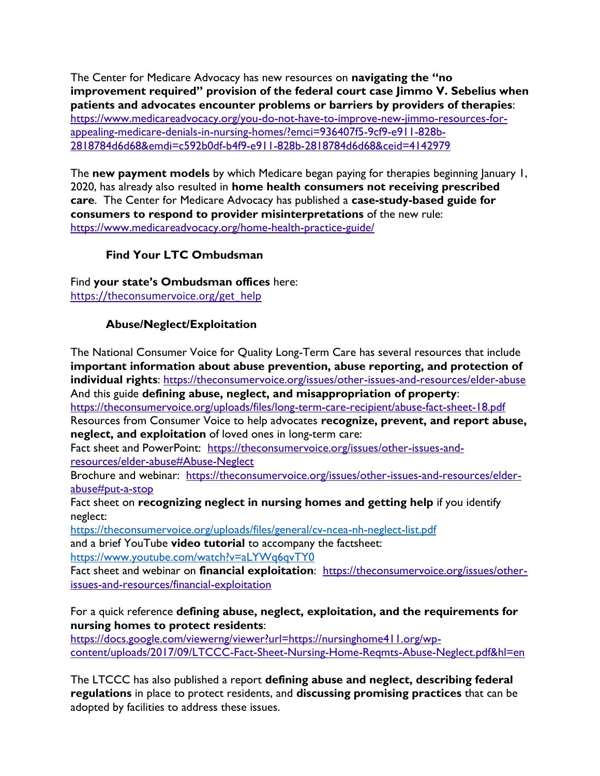The Center for Medicare Advocacy has new resources on **navigating the "no improvement required" provision of the federal court case Jimmo V. Sebelius when patients and advocates encounter problems or barriers by providers of therapies**: [https://www.medicareadvocacy.org/you-do-not-have-to-improve-new-jimmo-resources-for](https://www.medicareadvocacy.org/you-do-not-have-to-improve-new-jimmo-resources-for-appealing-medicare-denials-in-nursing-homes/?emci=936407f5-9cf9-e911-828b-2818784d6d68&emdi=c592b0df-b4f9-e911-828b-2818784d6d68&ceid=4142979)[appealing-medicare-denials-in-nursing-homes/?emci=936407f5-9cf9-e911-828b-](https://www.medicareadvocacy.org/you-do-not-have-to-improve-new-jimmo-resources-for-appealing-medicare-denials-in-nursing-homes/?emci=936407f5-9cf9-e911-828b-2818784d6d68&emdi=c592b0df-b4f9-e911-828b-2818784d6d68&ceid=4142979)[2818784d6d68&emdi=c592b0df-b4f9-e911-828b-2818784d6d68&ceid=4142979](https://www.medicareadvocacy.org/you-do-not-have-to-improve-new-jimmo-resources-for-appealing-medicare-denials-in-nursing-homes/?emci=936407f5-9cf9-e911-828b-2818784d6d68&emdi=c592b0df-b4f9-e911-828b-2818784d6d68&ceid=4142979)

The **new payment models** by which Medicare began paying for therapies beginning January 1, 2020, has already also resulted in **home health consumers not receiving prescribed care**. The Center for Medicare Advocacy has published a **case-study-based guide for consumers to respond to provider misinterpretations** of the new rule: <https://www.medicareadvocacy.org/home-health-practice-guide/>

# **Find Your LTC Ombudsman**

Find **your state's Ombudsman offices** here: [https://theconsumervoice.org/get\\_help](https://theconsumervoice.org/get_help)

# **Abuse/Neglect/Exploitation**

The National Consumer Voice for Quality Long-Term Care has several resources that include **important information about abuse prevention, abuse reporting, and protection of individual rights**: <https://theconsumervoice.org/issues/other-issues-and-resources/elder-abuse> And this guide **defining abuse, neglect, and misappropriation of property**: <https://theconsumervoice.org/uploads/files/long-term-care-recipient/abuse-fact-sheet-18.pdf> Resources from Consumer Voice to help advocates **recognize, prevent, and report abuse, neglect, and exploitation** of loved ones in long-term care: Fact sheet and PowerPoint: [https://theconsumervoice.org/issues/other-issues-and](https://theconsumervoice.org/issues/other-issues-and-resources/elder-abuse#Abuse-Neglect)[resources/elder-abuse#Abuse-Neglect](https://theconsumervoice.org/issues/other-issues-and-resources/elder-abuse#Abuse-Neglect) Brochure and webinar: [https://theconsumervoice.org/issues/other-issues-and-resources/elder](https://theconsumervoice.org/issues/other-issues-and-resources/elder-abuse#put-a-stop)[abuse#put-a-stop](https://theconsumervoice.org/issues/other-issues-and-resources/elder-abuse#put-a-stop) Fact sheet on **recognizing neglect in nursing homes and getting help** if you identify neglect: <https://theconsumervoice.org/uploads/files/general/cv-ncea-nh-neglect-list.pdf> and a brief YouTube **video tutorial** to accompany the factsheet: <https://www.youtube.com/watch?v=aLYWq6qvTY0> Fact sheet and webinar on **financial exploitation**: [https://theconsumervoice.org/issues/other-](https://theconsumervoice.org/issues/other-issues-and-resources/financial-exploitation)

[issues-and-resources/financial-exploitation](https://theconsumervoice.org/issues/other-issues-and-resources/financial-exploitation)

For a quick reference **defining abuse, neglect, exploitation, and the requirements for nursing homes to protect residents**:

[https://docs.google.com/viewerng/viewer?url=https://nursinghome411.org/wp](https://docs.google.com/viewerng/viewer?url=https://nursinghome411.org/wp-content/uploads/2017/09/LTCCC-Fact-Sheet-Nursing-Home-Reqmts-Abuse-Neglect.pdf&hl=en)[content/uploads/2017/09/LTCCC-Fact-Sheet-Nursing-Home-Reqmts-Abuse-Neglect.pdf&hl=en](https://docs.google.com/viewerng/viewer?url=https://nursinghome411.org/wp-content/uploads/2017/09/LTCCC-Fact-Sheet-Nursing-Home-Reqmts-Abuse-Neglect.pdf&hl=en)

The LTCCC has also published a report **defining abuse and neglect, describing federal regulations** in place to protect residents, and **discussing promising practices** that can be adopted by facilities to address these issues.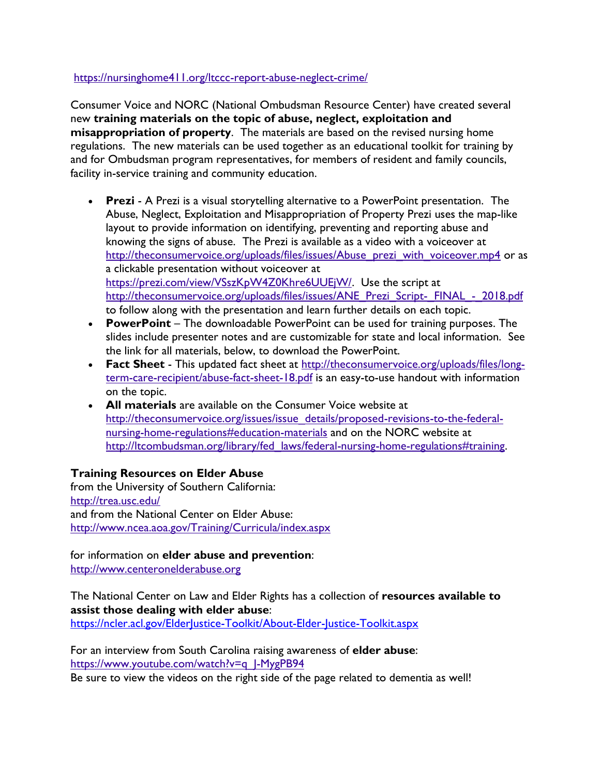#### <https://nursinghome411.org/ltccc-report-abuse-neglect-crime/>

Consumer Voice and NORC (National Ombudsman Resource Center) have created several new **training materials on the topic of abuse, neglect, exploitation and misappropriation of property**. The materials are based on the revised nursing home regulations. The new materials can be used together as an educational toolkit for training by and for Ombudsman program representatives, for members of resident and family councils, facility in-service training and community education.

- **Prezi** A Prezi is a visual storytelling alternative to a PowerPoint presentation. The Abuse, Neglect, Exploitation and Misappropriation of Property Prezi uses the map-like layout to provide information on identifying, preventing and reporting abuse and knowing the signs of abuse. The Prezi is available as a video with a voiceover at [http://theconsumervoice.org/uploads/files/issues/Abuse\\_prezi\\_with\\_voiceover.mp4](http://theconsumervoice.org/uploads/files/issues/Abuse_prezi_with_voiceover.mp4) or as a clickable presentation without voiceover at [https://prezi.com/view/VSszKpW4Z0Khre6UUEjW/.](https://prezi.com/view/VSszKpW4Z0Khre6UUEjW/) Use the script at http://theconsumervoice.org/uploads/files/issues/ANE\_Prezi\_Script-\_FINAL\_-\_2018.pdf to follow along with the presentation and learn further details on each topic.
- **PowerPoint** The downloadable PowerPoint can be used for training purposes. The slides include presenter notes and are customizable for state and local information. See the link for all materials, below, to download the PowerPoint.
- **Fact Sheet** This updated fact sheet at [http://theconsumervoice.org/uploads/files/long](http://theconsumervoice.org/uploads/files/long-term-care-recipient/abuse-fact-sheet-18.pdf)[term-care-recipient/abuse-fact-sheet-18.pdf](http://theconsumervoice.org/uploads/files/long-term-care-recipient/abuse-fact-sheet-18.pdf) is an easy-to-use handout with information on the topic.
- **All materials** are available on the Consumer Voice website at [http://theconsumervoice.org/issues/issue\\_details/proposed-revisions-to-the-federal](http://theconsumervoice.org/issues/issue_details/proposed-revisions-to-the-federal-nursing-home-regulations#education-materials)[nursing-home-regulations#education-materials](http://theconsumervoice.org/issues/issue_details/proposed-revisions-to-the-federal-nursing-home-regulations#education-materials) and on the NORC website at [http://ltcombudsman.org/library/fed\\_laws/federal-nursing-home-regulations#training.](http://ltcombudsman.org/library/fed_laws/federal-nursing-home-regulations#training)

#### **Training Resources on Elder Abuse**

from the University of Southern California: <http://trea.usc.edu/> and from the National Center on Elder Abuse: <http://www.ncea.aoa.gov/Training/Curricula/index.aspx>

for information on **elder abuse and prevention**: [http://www.centeronelderabuse.org](http://www.centeronelderabuse.org/)

The National Center on Law and Elder Rights has a collection of **resources available to assist those dealing with elder abuse**:

<https://ncler.acl.gov/ElderJustice-Toolkit/About-Elder-Justice-Toolkit.aspx>

For an interview from South Carolina raising awareness of **elder abuse**: [https://www.youtube.com/watch?v=q\\_J-MygPB94](https://www.youtube.com/watch?v=q_J-MygPB94) Be sure to view the videos on the right side of the page related to dementia as well!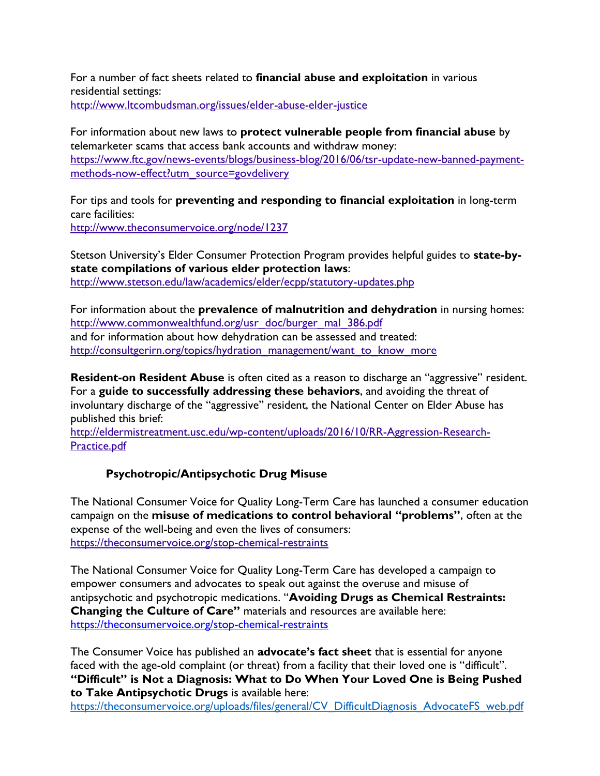For a number of fact sheets related to **financial abuse and exploitation** in various residential settings:

<http://www.ltcombudsman.org/issues/elder-abuse-elder-justice>

For information about new laws to **protect vulnerable people from financial abuse** by telemarketer scams that access bank accounts and withdraw money: [https://www.ftc.gov/news-events/blogs/business-blog/2016/06/tsr-update-new-banned-payment](https://www.ftc.gov/news-events/blogs/business-blog/2016/06/tsr-update-new-banned-payment-methods-now-effect?utm_source=govdelivery)[methods-now-effect?utm\\_source=govdelivery](https://www.ftc.gov/news-events/blogs/business-blog/2016/06/tsr-update-new-banned-payment-methods-now-effect?utm_source=govdelivery)

For tips and tools for **preventing and responding to financial exploitation** in long-term care facilities: <http://www.theconsumervoice.org/node/1237>

Stetson University's Elder Consumer Protection Program provides helpful guides to **state-bystate compilations of various elder protection laws**: <http://www.stetson.edu/law/academics/elder/ecpp/statutory-updates.php>

For information about the **prevalence of malnutrition and dehydration** in nursing homes: [http://www.commonwealthfund.org/usr\\_doc/burger\\_mal\\_386.pdf](http://www.commonwealthfund.org/usr_doc/burger_mal_386.pdf) and for information about how dehydration can be assessed and treated: [http://consultgerirn.org/topics/hydration\\_management/want\\_to\\_know\\_more](http://consultgerirn.org/topics/hydration_management/want_to_know_more)

**Resident-on Resident Abuse** is often cited as a reason to discharge an "aggressive" resident. For a **guide to successfully addressing these behaviors**, and avoiding the threat of involuntary discharge of the "aggressive" resident, the National Center on Elder Abuse has published this brief:

[http://eldermistreatment.usc.edu/wp-content/uploads/2016/10/RR-Aggression-Research-](http://eldermistreatment.usc.edu/wp-content/uploads/2016/10/RR-Aggression-Research-Practice.pdf)[Practice.pdf](http://eldermistreatment.usc.edu/wp-content/uploads/2016/10/RR-Aggression-Research-Practice.pdf)

#### **Psychotropic/Antipsychotic Drug Misuse**

The National Consumer Voice for Quality Long-Term Care has launched a consumer education campaign on the **misuse of medications to control behavioral "problems"**, often at the expense of the well-being and even the lives of consumers: <https://theconsumervoice.org/stop-chemical-restraints>

The National Consumer Voice for Quality Long-Term Care has developed a campaign to empower consumers and advocates to speak out against the overuse and misuse of antipsychotic and psychotropic medications. "**Avoiding Drugs as Chemical Restraints: Changing the Culture of Care"** materials and resources are available here: <https://theconsumervoice.org/stop-chemical-restraints>

The Consumer Voice has published an **advocate's fact sheet** that is essential for anyone faced with the age-old complaint (or threat) from a facility that their loved one is "difficult". **"Difficult" is Not a Diagnosis: What to Do When Your Loved One is Being Pushed to Take Antipsychotic Drugs** is available here:

[https://theconsumervoice.org/uploads/files/general/CV\\_DifficultDiagnosis\\_AdvocateFS\\_web.pdf](https://theconsumervoice.org/uploads/files/general/CV_DifficultDiagnosis_AdvocateFS_web.pdf)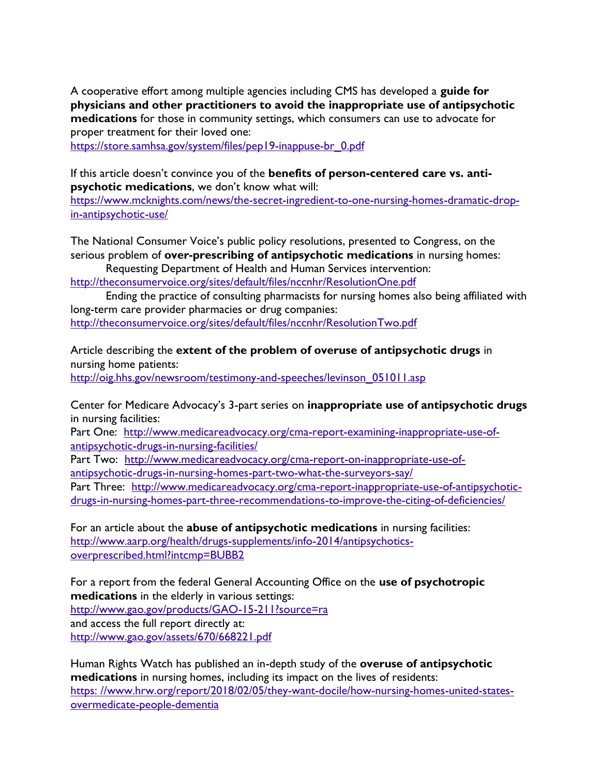A cooperative effort among multiple agencies including CMS has developed a **guide for physicians and other practitioners to avoid the inappropriate use of antipsychotic medications** for those in community settings, which consumers can use to advocate for proper treatment for their loved one:

[https://store.samhsa.gov/system/files/pep19-inappuse-br\\_0.pdf](https://store.samhsa.gov/system/files/pep19-inappuse-br_0.pdf)

If this article doesn't convince you of the **benefits of person-centered care vs. antipsychotic medications**, we don't know what will:

[https://www.mcknights.com/news/the-secret-ingredient-to-one-nursing-homes-dramatic-drop](https://www.mcknights.com/news/the-secret-ingredient-to-one-nursing-homes-dramatic-drop-in-antipsychotic-use/)[in-antipsychotic-use/](https://www.mcknights.com/news/the-secret-ingredient-to-one-nursing-homes-dramatic-drop-in-antipsychotic-use/)

The National Consumer Voice's public policy resolutions, presented to Congress, on the serious problem of **over-prescribing of antipsychotic medications** in nursing homes:

Requesting Department of Health and Human Services intervention: <http://theconsumervoice.org/sites/default/files/nccnhr/ResolutionOne.pdf>

Ending the practice of consulting pharmacists for nursing homes also being affiliated with long-term care provider pharmacies or drug companies: <http://theconsumervoice.org/sites/default/files/nccnhr/ResolutionTwo.pdf>

Article describing the **extent of the problem of overuse of antipsychotic drugs** in nursing home patients:

[http://oig.hhs.gov/newsroom/testimony-and-speeches/levinson\\_051011.asp](http://oig.hhs.gov/newsroom/testimony-and-speeches/levinson_051011.asp)

Center for Medicare Advocacy's 3-part series on **inappropriate use of antipsychotic drugs** in nursing facilities:

Part One: [http://www.medicareadvocacy.org/cma-report-examining-inappropriate-use-of](http://www.medicareadvocacy.org/cma-report-examining-inappropriate-use-of-antipsychotic-drugs-in-nursing-facilities/)[antipsychotic-drugs-in-nursing-facilities/](http://www.medicareadvocacy.org/cma-report-examining-inappropriate-use-of-antipsychotic-drugs-in-nursing-facilities/) 

Part Two: [http://www.medicareadvocacy.org/cma-report-on-inappropriate-use-of](http://www.medicareadvocacy.org/cma-report-on-inappropriate-use-of-antipsychotic-drugs-in-nursing-homes-part-two-what-the-surveyors-say/)[antipsychotic-drugs-in-nursing-homes-part-two-what-the-surveyors-say/](http://www.medicareadvocacy.org/cma-report-on-inappropriate-use-of-antipsychotic-drugs-in-nursing-homes-part-two-what-the-surveyors-say/) 

Part Three: [http://www.medicareadvocacy.org/cma-report-inappropriate-use-of-antipsychotic](http://www.medicareadvocacy.org/cma-report-inappropriate-use-of-antipsychotic-drugs-in-nursing-homes-part-three-recommendations-to-improve-the-citing-of-deficiencies/)[drugs-in-nursing-homes-part-three-recommendations-to-improve-the-citing-of-deficiencies/](http://www.medicareadvocacy.org/cma-report-inappropriate-use-of-antipsychotic-drugs-in-nursing-homes-part-three-recommendations-to-improve-the-citing-of-deficiencies/)

For an article about the **abuse of antipsychotic medications** in nursing facilities: [http://www.aarp.org/health/drugs-supplements/info-2014/antipsychotics](http://www.aarp.org/health/drugs-supplements/info-2014/antipsychotics-overprescribed.html?intcmp=BUBB2)[overprescribed.html?intcmp=BUBB2](http://www.aarp.org/health/drugs-supplements/info-2014/antipsychotics-overprescribed.html?intcmp=BUBB2)

For a report from the federal General Accounting Office on the **use of psychotropic medications** in the elderly in various settings: <http://www.gao.gov/products/GAO-15-211?source=ra> and access the full report directly at: <http://www.gao.gov/assets/670/668221.pdf>

Human Rights Watch has published an in-depth study of the **overuse of antipsychotic medications** in nursing homes, including its impact on the lives of residents: https: [//www.hrw.org/report/2018/02/05/they-want-docile/how-nursing-homes-united-states](https://www.hrw.org/report/2018/02/05/they-want-docile/how-nursing-homes-united-states-overmedicate-people-dementia)[overmedicate-people-dementia](https://www.hrw.org/report/2018/02/05/they-want-docile/how-nursing-homes-united-states-overmedicate-people-dementia)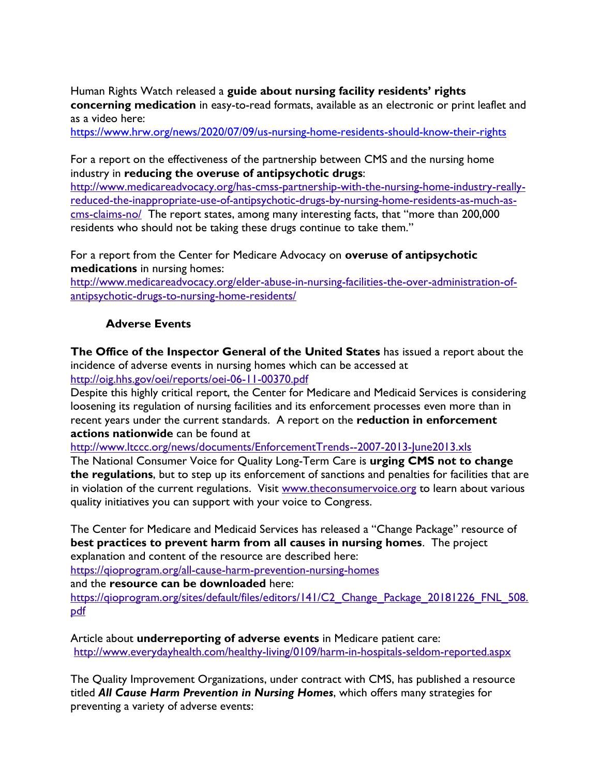Human Rights Watch released a **guide about nursing facility residents' rights concerning medication** in easy-to-read formats, available as an electronic or print leaflet and as a video here:

<https://www.hrw.org/news/2020/07/09/us-nursing-home-residents-should-know-their-rights>

For a report on the effectiveness of the partnership between CMS and the nursing home industry in **reducing the overuse of antipsychotic drugs**:

[http://www.medicareadvocacy.org/has-cmss-partnership-with-the-nursing-home-industry-really](http://www.medicareadvocacy.org/has-cmss-partnership-with-the-nursing-home-industry-really-reduced-the-inappropriate-use-of-antipsychotic-drugs-by-nursing-home-residents-as-much-as-cms-claims-no/)[reduced-the-inappropriate-use-of-antipsychotic-drugs-by-nursing-home-residents-as-much-as](http://www.medicareadvocacy.org/has-cmss-partnership-with-the-nursing-home-industry-really-reduced-the-inappropriate-use-of-antipsychotic-drugs-by-nursing-home-residents-as-much-as-cms-claims-no/)[cms-claims-no/](http://www.medicareadvocacy.org/has-cmss-partnership-with-the-nursing-home-industry-really-reduced-the-inappropriate-use-of-antipsychotic-drugs-by-nursing-home-residents-as-much-as-cms-claims-no/) The report states, among many interesting facts, that "more than 200,000 residents who should not be taking these drugs continue to take them."

For a report from the Center for Medicare Advocacy on **overuse of antipsychotic medications** in nursing homes:

[http://www.medicareadvocacy.org/elder-abuse-in-nursing-facilities-the-over-administration-of](http://www.medicareadvocacy.org/elder-abuse-in-nursing-facilities-the-over-administration-of-antipsychotic-drugs-to-nursing-home-residents/)[antipsychotic-drugs-to-nursing-home-residents/](http://www.medicareadvocacy.org/elder-abuse-in-nursing-facilities-the-over-administration-of-antipsychotic-drugs-to-nursing-home-residents/)

#### **Adverse Events**

**The Office of the Inspector General of the United States** has issued a report about the incidence of adverse events in nursing homes which can be accessed at <http://oig.hhs.gov/oei/reports/oei-06-11-00370.pdf>

Despite this highly critical report, the Center for Medicare and Medicaid Services is considering loosening its regulation of nursing facilities and its enforcement processes even more than in recent years under the current standards. A report on the **reduction in enforcement actions nationwide** can be found at

<http://www.ltccc.org/news/documents/EnforcementTrends--2007-2013-June2013.xls>

The National Consumer Voice for Quality Long-Term Care is **urging CMS not to change the regulations**, but to step up its enforcement of sanctions and penalties for facilities that are in violation of the current regulations. Visit [www.theconsumervoice.org](http://www.theconsumervoice.org/) to learn about various quality initiatives you can support with your voice to Congress.

The Center for Medicare and Medicaid Services has released a "Change Package" resource of **best practices to prevent harm from all causes in nursing homes**. The project explanation and content of the resource are described here:

<https://qioprogram.org/all-cause-harm-prevention-nursing-homes>

and the **resource can be downloaded** here:

https://gioprogram.org/sites/default/files/editors/141/C2 Change\_Package\_20181226\_FNL\_508. [pdf](https://qioprogram.org/sites/default/files/editors/141/C2_Change_Package_20181226_FNL_508.pdf)

Article about **underreporting of adverse events** in Medicare patient care: <http://www.everydayhealth.com/healthy-living/0109/harm-in-hospitals-seldom-reported.aspx>

The Quality Improvement Organizations, under contract with CMS, has published a resource titled *All Cause Harm Prevention in Nursing Homes*, which offers many strategies for preventing a variety of adverse events: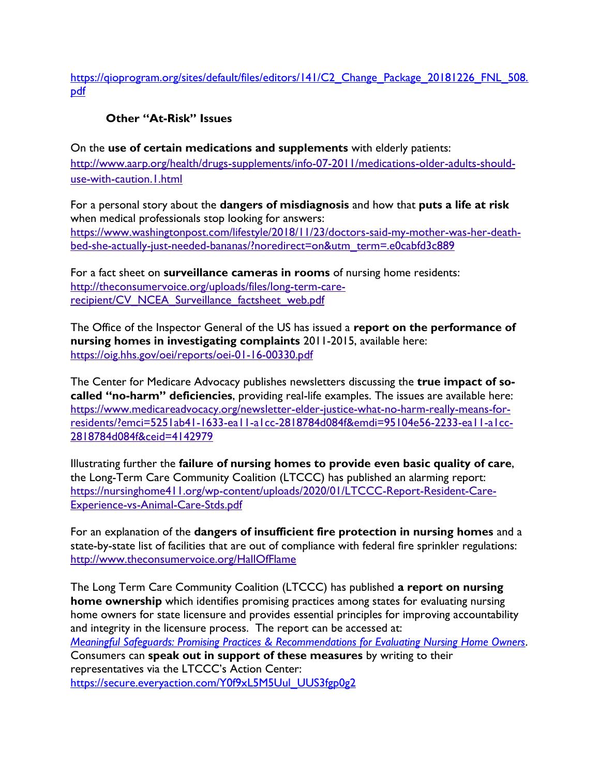https://qioprogram.org/sites/default/files/editors/141/C2 Change Package 20181226 FNL 508. [pdf](https://qioprogram.org/sites/default/files/editors/141/C2_Change_Package_20181226_FNL_508.pdf)

# **Other "At-Risk" Issues**

On the **use of certain medications and supplements** with elderly patients: [http://www.aarp.org/health/drugs-supplements/info-07-2011/medications-older-adults-should](http://www.aarp.org/health/drugs-supplements/info-07-2011/medications-older-adults-should-use-with-caution.1.html)[use-with-caution.1.html](http://www.aarp.org/health/drugs-supplements/info-07-2011/medications-older-adults-should-use-with-caution.1.html)

For a personal story about the **dangers of misdiagnosis** and how that **puts a life at risk** when medical professionals stop looking for answers: [https://www.washingtonpost.com/lifestyle/2018/11/23/doctors-said-my-mother-was-her-death](https://www.washingtonpost.com/lifestyle/2018/11/23/doctors-said-my-mother-was-her-death-bed-she-actually-just-needed-bananas/?noredirect=on&utm_term=.e0cabfd3c889)[bed-she-actually-just-needed-bananas/?noredirect=on&utm\\_term=.e0cabfd3c889](https://www.washingtonpost.com/lifestyle/2018/11/23/doctors-said-my-mother-was-her-death-bed-she-actually-just-needed-bananas/?noredirect=on&utm_term=.e0cabfd3c889)

For a fact sheet on **surveillance cameras in rooms** of nursing home residents: [http://theconsumervoice.org/uploads/files/long-term-care](http://theconsumervoice.org/uploads/files/long-term-care-recipient/CV_NCEA_Surveillance_factsheet_web.pdf)[recipient/CV\\_NCEA\\_Surveillance\\_factsheet\\_web.pdf](http://theconsumervoice.org/uploads/files/long-term-care-recipient/CV_NCEA_Surveillance_factsheet_web.pdf)

The Office of the Inspector General of the US has issued a **report on the performance of nursing homes in investigating complaints** 2011-2015, available here: <https://oig.hhs.gov/oei/reports/oei-01-16-00330.pdf>

The Center for Medicare Advocacy publishes newsletters discussing the **true impact of socalled "no-harm" deficiencies**, providing real-life examples. The issues are available here: [https://www.medicareadvocacy.org/newsletter-elder-justice-what-no-harm-really-means-for](https://www.medicareadvocacy.org/newsletter-elder-justice-what-no-harm-really-means-for-residents/?emci=5251ab41-1633-ea11-a1cc-2818784d084f&emdi=95104e56-2233-ea11-a1cc-2818784d084f&ceid=4142979)[residents/?emci=5251ab41-1633-ea11-a1cc-2818784d084f&emdi=95104e56-2233-ea11-a1cc-](https://www.medicareadvocacy.org/newsletter-elder-justice-what-no-harm-really-means-for-residents/?emci=5251ab41-1633-ea11-a1cc-2818784d084f&emdi=95104e56-2233-ea11-a1cc-2818784d084f&ceid=4142979)[2818784d084f&ceid=4142979](https://www.medicareadvocacy.org/newsletter-elder-justice-what-no-harm-really-means-for-residents/?emci=5251ab41-1633-ea11-a1cc-2818784d084f&emdi=95104e56-2233-ea11-a1cc-2818784d084f&ceid=4142979)

Illustrating further the **failure of nursing homes to provide even basic quality of care**, the Long-Term Care Community Coalition (LTCCC) has published an alarming report: [https://nursinghome411.org/wp-content/uploads/2020/01/LTCCC-Report-Resident-Care-](https://nursinghome411.org/wp-content/uploads/2020/01/LTCCC-Report-Resident-Care-Experience-vs-Animal-Care-Stds.pdf)[Experience-vs-Animal-Care-Stds.pdf](https://nursinghome411.org/wp-content/uploads/2020/01/LTCCC-Report-Resident-Care-Experience-vs-Animal-Care-Stds.pdf)

For an explanation of the **dangers of insufficient fire protection in nursing homes** and a state-by-state list of facilities that are out of compliance with federal fire sprinkler regulations: <http://www.theconsumervoice.org/HallOfFlame>

The Long Term Care Community Coalition (LTCCC) has published **a report on nursing home ownership** which identifies promising practices among states for evaluating nursing home owners for state licensure and provides essential principles for improving accountability and integrity in the licensure process. The report can be accessed at: *[Meaningful Safeguards: Promising Practices & Recommendations for Evaluating Nursing Home Owners](https://click.everyaction.com/k/15886982/168179142/799668186?nvep=ew0KICAiVGVuYW50VXJpIjogIm5ncHZhbjovL3Zhbi9FQS9FQTAwMi8xLzYzODUyIiwNCiAgIkRpc3RyaWJ1dGlvblVuaXF1ZUlkIjogIjBkNWQ1MzgzLTE3NjItZWExMS1hOTRjLTAwMTU1ZDAzYjVkZCIsDQogICJFbWFpbEFkZHJlc3MiOiAiY29udGFjdEBvdXJtb3RoZXJzdm9pY2Uub3JnIg0KfQ%3D%3D&hmac=zn_ymngqDkT712oZ2PzpiTuHIs-JR89bSA9Rd340IUM=&emci=fe9c7c69-c45f-ea11-a94c-00155d03b5dd&emdi=0d5d5383-1762-ea11-a94c-00155d03b5dd&ceid=2300713)*. Consumers can **speak out in support of these measures** by writing to their representatives via the LTCCC's Action Center: [https://secure.everyaction.com/Y0f9xL5M5Uul\\_UUS3fgp0g2](https://secure.everyaction.com/Y0f9xL5M5Uul_UUS3fgp0g2)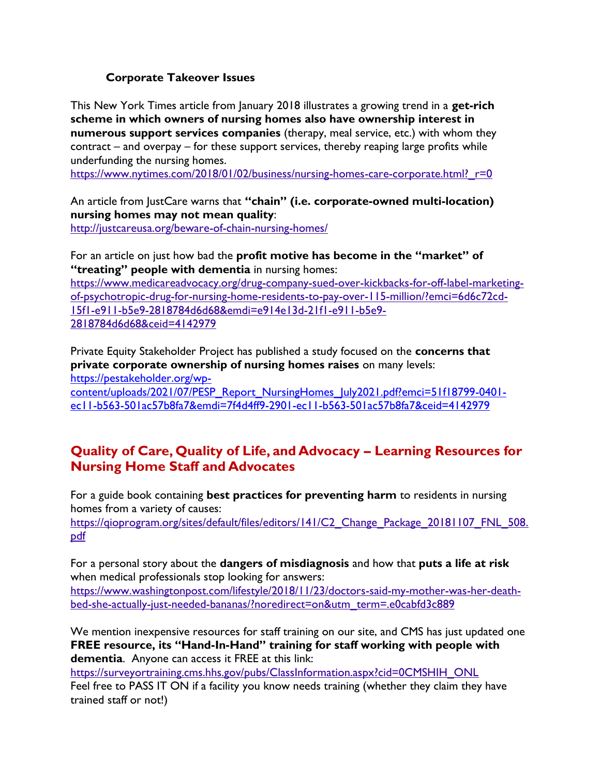#### **Corporate Takeover Issues**

This New York Times article from January 2018 illustrates a growing trend in a **get-rich scheme in which owners of nursing homes also have ownership interest in numerous support services companies** (therapy, meal service, etc.) with whom they contract – and overpay – for these support services, thereby reaping large profits while underfunding the nursing homes.

https://www.nytimes.com/2018/01/02/business/nursing-homes-care-corporate.html? r=0

An article from JustCare warns that **"chain" (i.e. corporate-owned multi-location) nursing homes may not mean quality**:

<http://justcareusa.org/beware-of-chain-nursing-homes/>

For an article on just how bad the **profit motive has become in the "market" of "treating" people with dementia** in nursing homes:

[https://www.medicareadvocacy.org/drug-company-sued-over-kickbacks-for-off-label-marketing](https://www.medicareadvocacy.org/drug-company-sued-over-kickbacks-for-off-label-marketing-of-psychotropic-drug-for-nursing-home-residents-to-pay-over-115-million/?emci=6d6c72cd-15f1-e911-b5e9-2818784d6d68&emdi=e914e13d-21f1-e911-b5e9-2818784d6d68&ceid=4142979)[of-psychotropic-drug-for-nursing-home-residents-to-pay-over-115-million/?emci=6d6c72cd-](https://www.medicareadvocacy.org/drug-company-sued-over-kickbacks-for-off-label-marketing-of-psychotropic-drug-for-nursing-home-residents-to-pay-over-115-million/?emci=6d6c72cd-15f1-e911-b5e9-2818784d6d68&emdi=e914e13d-21f1-e911-b5e9-2818784d6d68&ceid=4142979)[15f1-e911-b5e9-2818784d6d68&emdi=e914e13d-21f1-e911-b5e9-](https://www.medicareadvocacy.org/drug-company-sued-over-kickbacks-for-off-label-marketing-of-psychotropic-drug-for-nursing-home-residents-to-pay-over-115-million/?emci=6d6c72cd-15f1-e911-b5e9-2818784d6d68&emdi=e914e13d-21f1-e911-b5e9-2818784d6d68&ceid=4142979) [2818784d6d68&ceid=4142979](https://www.medicareadvocacy.org/drug-company-sued-over-kickbacks-for-off-label-marketing-of-psychotropic-drug-for-nursing-home-residents-to-pay-over-115-million/?emci=6d6c72cd-15f1-e911-b5e9-2818784d6d68&emdi=e914e13d-21f1-e911-b5e9-2818784d6d68&ceid=4142979)

Private Equity Stakeholder Project has published a study focused on the **concerns that private corporate ownership of nursing homes raises** on many levels: [https://pestakeholder.org/wp](https://pestakeholder.org/wp-content/uploads/2021/07/PESP_Report_NursingHomes_July2021.pdf?emci=51f18799-0401-ec11-b563-501ac57b8fa7&emdi=7f4d4ff9-2901-ec11-b563-501ac57b8fa7&ceid=4142979)[content/uploads/2021/07/PESP\\_Report\\_NursingHomes\\_July2021.pdf?emci=51f18799-0401-](https://pestakeholder.org/wp-content/uploads/2021/07/PESP_Report_NursingHomes_July2021.pdf?emci=51f18799-0401-ec11-b563-501ac57b8fa7&emdi=7f4d4ff9-2901-ec11-b563-501ac57b8fa7&ceid=4142979)

[ec11-b563-501ac57b8fa7&emdi=7f4d4ff9-2901-ec11-b563-501ac57b8fa7&ceid=4142979](https://pestakeholder.org/wp-content/uploads/2021/07/PESP_Report_NursingHomes_July2021.pdf?emci=51f18799-0401-ec11-b563-501ac57b8fa7&emdi=7f4d4ff9-2901-ec11-b563-501ac57b8fa7&ceid=4142979)

# **Quality of Care, Quality of Life, and Advocacy – Learning Resources for Nursing Home Staff and Advocates**

For a guide book containing **best practices for preventing harm** to residents in nursing homes from a variety of causes:

https://qioprogram.org/sites/default/files/editors/141/C2 Change\_Package\_20181107\_FNL\_508. [pdf](https://qioprogram.org/sites/default/files/editors/141/C2_Change_Package_20181107_FNL_508.pdf)

For a personal story about the **dangers of misdiagnosis** and how that **puts a life at risk** when medical professionals stop looking for answers:

[https://www.washingtonpost.com/lifestyle/2018/11/23/doctors-said-my-mother-was-her-death](https://www.washingtonpost.com/lifestyle/2018/11/23/doctors-said-my-mother-was-her-death-bed-she-actually-just-needed-bananas/?noredirect=on&utm_term=.e0cabfd3c889)[bed-she-actually-just-needed-bananas/?noredirect=on&utm\\_term=.e0cabfd3c889](https://www.washingtonpost.com/lifestyle/2018/11/23/doctors-said-my-mother-was-her-death-bed-she-actually-just-needed-bananas/?noredirect=on&utm_term=.e0cabfd3c889)

We mention inexpensive resources for staff training on our site, and CMS has just updated one **FREE resource, its "Hand-In-Hand" training for staff working with people with dementia**. Anyone can access it FREE at this link:

[https://surveyortraining.cms.hhs.gov/pubs/ClassInformation.aspx?cid=0CMSHIH\\_ONL](https://surveyortraining.cms.hhs.gov/pubs/ClassInformation.aspx?cid=0CMSHIH_ONL) Feel free to PASS IT ON if a facility you know needs training (whether they claim they have trained staff or not!)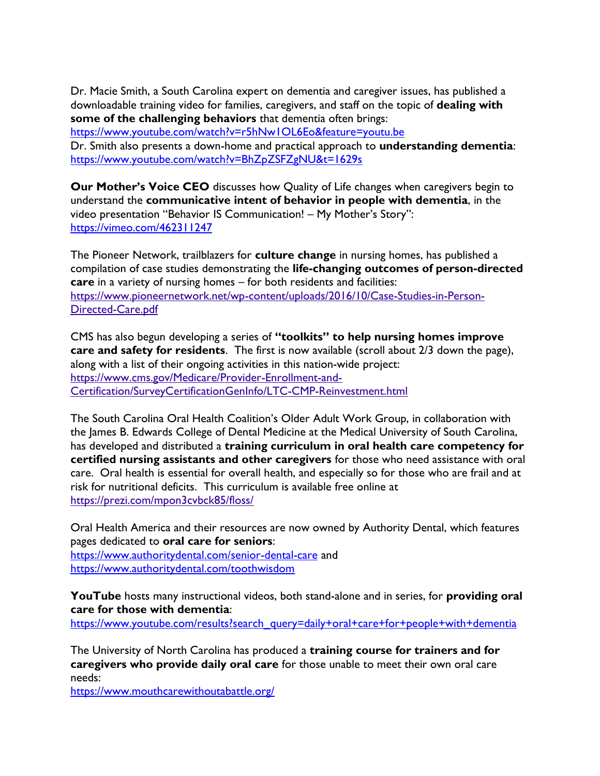Dr. Macie Smith, a South Carolina expert on dementia and caregiver issues, has published a downloadable training video for families, caregivers, and staff on the topic of **dealing with some of the challenging behaviors** that dementia often brings:

<https://www.youtube.com/watch?v=r5hNw1OL6Eo&feature=youtu.be>

Dr. Smith also presents a down-home and practical approach to **understanding dementia**: <https://www.youtube.com/watch?v=BhZpZSFZgNU&t=1629s>

**Our Mother's Voice CEO** discusses how Quality of Life changes when caregivers begin to understand the **communicative intent of behavior in people with dementia**, in the video presentation "Behavior IS Communication! – My Mother's Story": <https://vimeo.com/462311247>

The Pioneer Network, trailblazers for **culture change** in nursing homes, has published a compilation of case studies demonstrating the **life-changing outcomes of person-directed care** in a variety of nursing homes – for both residents and facilities: [https://www.pioneernetwork.net/wp-content/uploads/2016/10/Case-Studies-in-Person-](https://www.pioneernetwork.net/wp-content/uploads/2016/10/Case-Studies-in-Person-Directed-Care.pdf)[Directed-Care.pdf](https://www.pioneernetwork.net/wp-content/uploads/2016/10/Case-Studies-in-Person-Directed-Care.pdf)

CMS has also begun developing a series of **"toolkits" to help nursing homes improve care and safety for residents**. The first is now available (scroll about 2/3 down the page), along with a list of their ongoing activities in this nation-wide project: [https://www.cms.gov/Medicare/Provider-Enrollment-and-](https://www.cms.gov/Medicare/Provider-Enrollment-and-Certification/SurveyCertificationGenInfo/LTC-CMP-Reinvestment.html)[Certification/SurveyCertificationGenInfo/LTC-CMP-Reinvestment.html](https://www.cms.gov/Medicare/Provider-Enrollment-and-Certification/SurveyCertificationGenInfo/LTC-CMP-Reinvestment.html)

The South Carolina Oral Health Coalition's Older Adult Work Group, in collaboration with the James B. Edwards College of Dental Medicine at the Medical University of South Carolina, has developed and distributed a **training curriculum in oral health care competency for certified nursing assistants and other caregivers** for those who need assistance with oral care. Oral health is essential for overall health, and especially so for those who are frail and at risk for nutritional deficits. This curriculum is available free online at <https://prezi.com/mpon3cvbck85/floss/>

Oral Health America and their resources are now owned by Authority Dental, which features pages dedicated to **oral care for seniors**: <https://www.authoritydental.com/senior-dental-care> and <https://www.authoritydental.com/toothwisdom>

**YouTube** hosts many instructional videos, both stand-alone and in series, for **providing oral care for those with dementia**:

[https://www.youtube.com/results?search\\_query=daily+oral+care+for+people+with+dementia](https://www.youtube.com/results?search_query=daily+oral+care+for+people+with+dementia)

The University of North Carolina has produced a **training course for trainers and for caregivers who provide daily oral care** for those unable to meet their own oral care needs:

<https://www.mouthcarewithoutabattle.org/>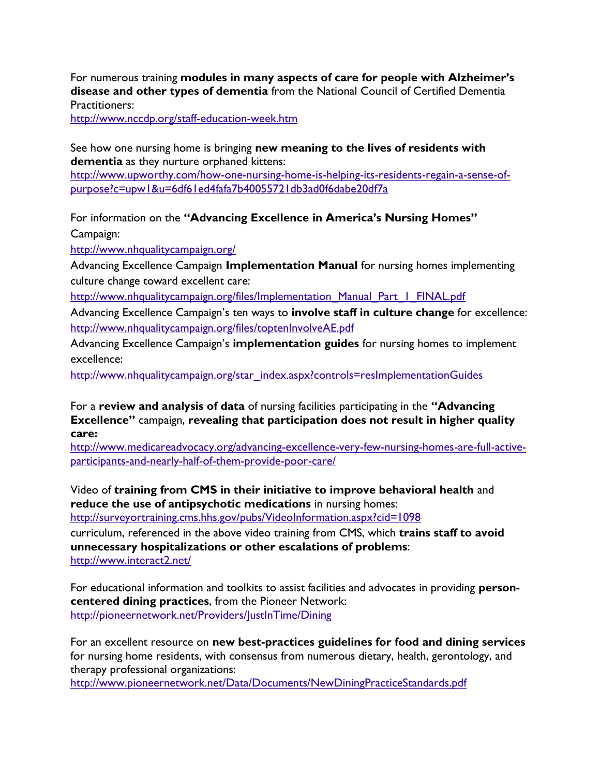For numerous training **modules in many aspects of care for people with Alzheimer's disease and other types of dementia** from the National Council of Certified Dementia Practitioners:

<http://www.nccdp.org/staff-education-week.htm>

See how one nursing home is bringing **new meaning to the lives of residents with dementia** as they nurture orphaned kittens:

[http://www.upworthy.com/how-one-nursing-home-is-helping-its-residents-regain-a-sense-of](http://www.upworthy.com/how-one-nursing-home-is-helping-its-residents-regain-a-sense-of-purpose?c=upw1&u=6df61ed4fafa7b40055721db3ad0f6dabe20df7a)[purpose?c=upw1&u=6df61ed4fafa7b40055721db3ad0f6dabe20df7a](http://www.upworthy.com/how-one-nursing-home-is-helping-its-residents-regain-a-sense-of-purpose?c=upw1&u=6df61ed4fafa7b40055721db3ad0f6dabe20df7a)

For information on the **"Advancing Excellence in America's Nursing Homes"** Campaign:

<http://www.nhqualitycampaign.org/>

Advancing Excellence Campaign **Implementation Manual** for nursing homes implementing culture change toward excellent care:

[http://www.nhqualitycampaign.org/files/Implementation\\_Manual\\_Part\\_1\\_FINAL.pdf](http://www.nhqualitycampaign.org/files/Implementation_Manual_Part_1_FINAL.pdf)

Advancing Excellence Campaign's ten ways to **involve staff in culture change** for excellence: <http://www.nhqualitycampaign.org/files/toptenInvolveAE.pdf>

Advancing Excellence Campaign's **implementation guides** for nursing homes to implement excellence:

http://www.nhqualitycampaign.org/star\_index.aspx?controls=resImplementationGuides

For a **review and analysis of data** of nursing facilities participating in the **"Advancing Excellence"** campaign, **revealing that participation does not result in higher quality care:**

[http://www.medicareadvocacy.org/advancing-excellence-very-few-nursing-homes-are-full-active](http://www.medicareadvocacy.org/advancing-excellence-very-few-nursing-homes-are-full-active-participants-and-nearly-half-of-them-provide-poor-care/)[participants-and-nearly-half-of-them-provide-poor-care/](http://www.medicareadvocacy.org/advancing-excellence-very-few-nursing-homes-are-full-active-participants-and-nearly-half-of-them-provide-poor-care/) 

Video of **training from CMS in their initiative to improve behavioral health** and **reduce the use of antipsychotic medications** in nursing homes:

<http://surveyortraining.cms.hhs.gov/pubs/VideoInformation.aspx?cid=1098>

curriculum, referenced in the above video training from CMS, which **trains staff to avoid unnecessary hospitalizations or other escalations of problems**: <http://www.interact2.net/>

For educational information and toolkits to assist facilities and advocates in providing **personcentered dining practices**, from the Pioneer Network: <http://pioneernetwork.net/Providers/JustInTime/Dining>

For an excellent resource on **new best-practices guidelines for food and dining services** for nursing home residents, with consensus from numerous dietary, health, gerontology, and therapy professional organizations:

<http://www.pioneernetwork.net/Data/Documents/NewDiningPracticeStandards.pdf>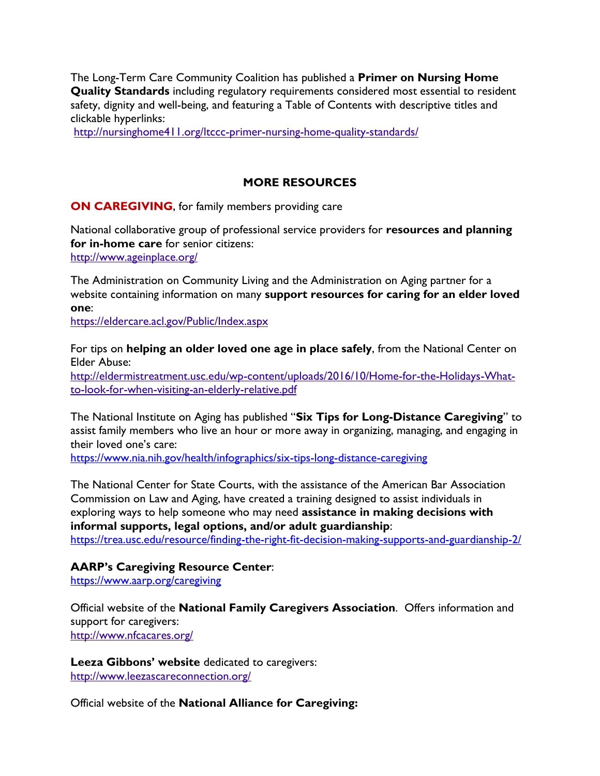The Long-Term Care Community Coalition has published a **Primer on Nursing Home Quality Standards** including regulatory requirements considered most essential to resident safety, dignity and well-being, and featuring a Table of Contents with descriptive titles and clickable hyperlinks:

<http://nursinghome411.org/ltccc-primer-nursing-home-quality-standards/>

# **MORE RESOURCES**

**ON CAREGIVING**, for family members providing care

National collaborative group of professional service providers for **resources and planning for in-home care** for senior citizens: <http://www.ageinplace.org/>

The Administration on Community Living and the Administration on Aging partner for a website containing information on many **support resources for caring for an elder loved one**:

<https://eldercare.acl.gov/Public/Index.aspx>

For tips on **helping an older loved one age in place safely**, from the National Center on Elder Abuse:

[http://eldermistreatment.usc.edu/wp-content/uploads/2016/10/Home-for-the-Holidays-What](http://eldermistreatment.usc.edu/wp-content/uploads/2016/10/Home-for-the-Holidays-What-to-look-for-when-visiting-an-elderly-relative.pdf)[to-look-for-when-visiting-an-elderly-relative.pdf](http://eldermistreatment.usc.edu/wp-content/uploads/2016/10/Home-for-the-Holidays-What-to-look-for-when-visiting-an-elderly-relative.pdf)

The National Institute on Aging has published "**Six Tips for Long-Distance Caregiving**" to assist family members who live an hour or more away in organizing, managing, and engaging in their loved one's care:

<https://www.nia.nih.gov/health/infographics/six-tips-long-distance-caregiving>

The National Center for State Courts, with the assistance of the American Bar Association Commission on Law and Aging, have created a training designed to assist individuals in exploring ways to help someone who may need **assistance in making decisions with informal supports, legal options, and/or adult guardianship**:

<https://trea.usc.edu/resource/finding-the-right-fit-decision-making-supports-and-guardianship-2/>

**AARP's Caregiving Resource Center**:

<https://www.aarp.org/caregiving>

Official website of the **National Family Caregivers Association**. Offers information and support for caregivers: <http://www.nfcacares.org/>

**Leeza Gibbons' website** dedicated to caregivers: <http://www.leezascareconnection.org/>

Official website of the **National Alliance for Caregiving:**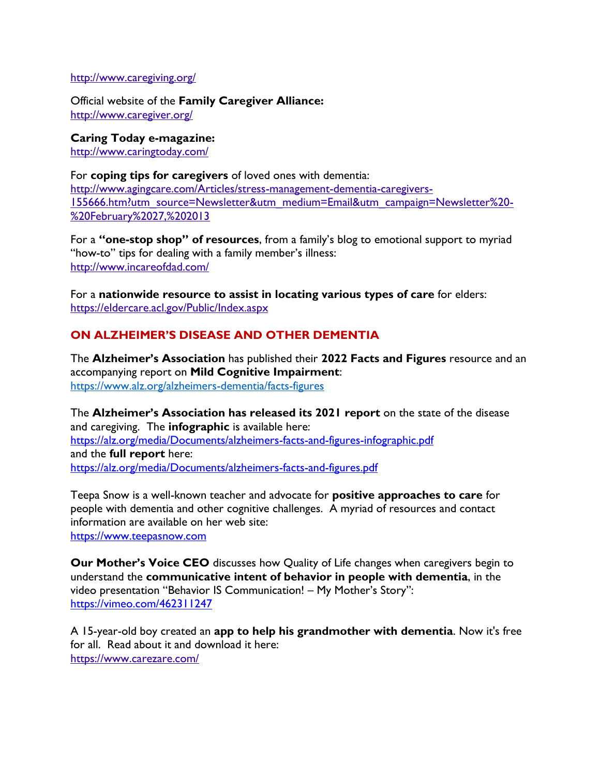#### <http://www.caregiving.org/>

Official website of the **Family Caregiver Alliance:** <http://www.caregiver.org/>

**Caring Today e-magazine:** <http://www.caringtoday.com/>

For **coping tips for caregivers** of loved ones with dementia: [http://www.agingcare.com/Articles/stress-management-dementia-caregivers-](http://www.agingcare.com/Articles/stress-management-dementia-caregivers-155666.htm?utm_source=Newsletter&utm_medium=Email&utm_campaign=Newsletter%20-%20February%2027,%202013)[155666.htm?utm\\_source=Newsletter&utm\\_medium=Email&utm\\_campaign=Newsletter%20-](http://www.agingcare.com/Articles/stress-management-dementia-caregivers-155666.htm?utm_source=Newsletter&utm_medium=Email&utm_campaign=Newsletter%20-%20February%2027,%202013) [%20February%2027,%202013](http://www.agingcare.com/Articles/stress-management-dementia-caregivers-155666.htm?utm_source=Newsletter&utm_medium=Email&utm_campaign=Newsletter%20-%20February%2027,%202013)

For a **"one-stop shop" of resources**, from a family's blog to emotional support to myriad "how-to" tips for dealing with a family member's illness: <http://www.incareofdad.com/>

For a **nationwide resource to assist in locating various types of care** for elders: <https://eldercare.acl.gov/Public/Index.aspx>

# **ON ALZHEIMER'S DISEASE AND OTHER DEMENTIA**

The **Alzheimer's Association** has published their **2022 Facts and Figures** resource and an accompanying report on **Mild Cognitive Impairment**: <https://www.alz.org/alzheimers-dementia/facts-figures>

The **Alzheimer's Association has released its 2021 report** on the state of the disease and caregiving. The **infographic** is available here: <https://alz.org/media/Documents/alzheimers-facts-and-figures-infographic.pdf> and the **full report** here: <https://alz.org/media/Documents/alzheimers-facts-and-figures.pdf>

Teepa Snow is a well-known teacher and advocate for **positive approaches to care** for people with dementia and other cognitive challenges. A myriad of resources and contact information are available on her web site: [https://www.teepasnow.com](https://www.teepasnow.com/)

**Our Mother's Voice CEO** discusses how Quality of Life changes when caregivers begin to understand the **communicative intent of behavior in people with dementia**, in the video presentation "Behavior IS Communication! – My Mother's Story": <https://vimeo.com/462311247>

A 15-year-old boy created an **app to help his grandmother with dementia**. Now it's free for all. Read about it and download it here: <https://www.carezare.com/>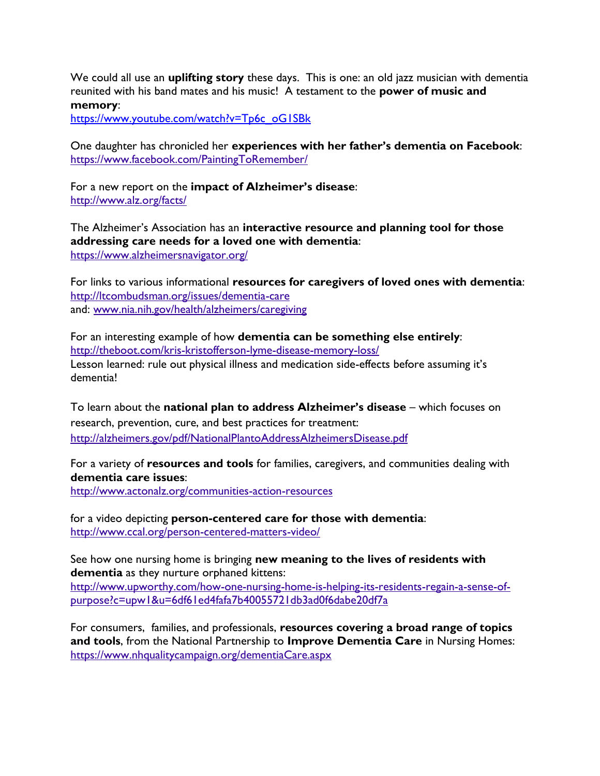We could all use an **uplifting story** these days. This is one: an old jazz musician with dementia reunited with his band mates and his music! A testament to the **power of music and memory**:

[https://www.youtube.com/watch?v=Tp6c\\_oG1SBk](https://www.youtube.com/watch?v=Tp6c_oG1SBk)

One daughter has chronicled her **experiences with her father's dementia on Facebook**: <https://www.facebook.com/PaintingToRemember/>

For a new report on the **impact of Alzheimer's disease**: <http://www.alz.org/facts/>

The Alzheimer's Association has an **interactive resource and planning tool for those addressing care needs for a loved one with dementia**: <https://www.alzheimersnavigator.org/>

For links to various informational **resources for caregivers of loved ones with dementia**: <http://ltcombudsman.org/issues/dementia-care> and: [www.nia.nih.gov/health/alzheimers/caregiving](http://www.nia.nih.gov/health/alzheimers/caregiving)

For an interesting example of how **dementia can be something else entirely**: <http://theboot.com/kris-kristofferson-lyme-disease-memory-loss/> Lesson learned: rule out physical illness and medication side-effects before assuming it's dementia!

To learn about the **national plan to address Alzheimer's disease** – which focuses on research, prevention, cure, and best practices for treatment: <http://alzheimers.gov/pdf/NationalPlantoAddressAlzheimersDisease.pdf>

For a variety of **resources and tools** for families, caregivers, and communities dealing with **dementia care issues**:

<http://www.actonalz.org/communities-action-resources>

for a video depicting **person-centered care for those with dementia**: <http://www.ccal.org/person-centered-matters-video/>

See how one nursing home is bringing **new meaning to the lives of residents with dementia** as they nurture orphaned kittens:

[http://www.upworthy.com/how-one-nursing-home-is-helping-its-residents-regain-a-sense-of](http://www.upworthy.com/how-one-nursing-home-is-helping-its-residents-regain-a-sense-of-purpose?c=upw1&u=6df61ed4fafa7b40055721db3ad0f6dabe20df7a)[purpose?c=upw1&u=6df61ed4fafa7b40055721db3ad0f6dabe20df7a](http://www.upworthy.com/how-one-nursing-home-is-helping-its-residents-regain-a-sense-of-purpose?c=upw1&u=6df61ed4fafa7b40055721db3ad0f6dabe20df7a)

For consumers, families, and professionals, **resources covering a broad range of topics and tools**, from the National Partnership to **Improve Dementia Care** in Nursing Homes: <https://www.nhqualitycampaign.org/dementiaCare.aspx>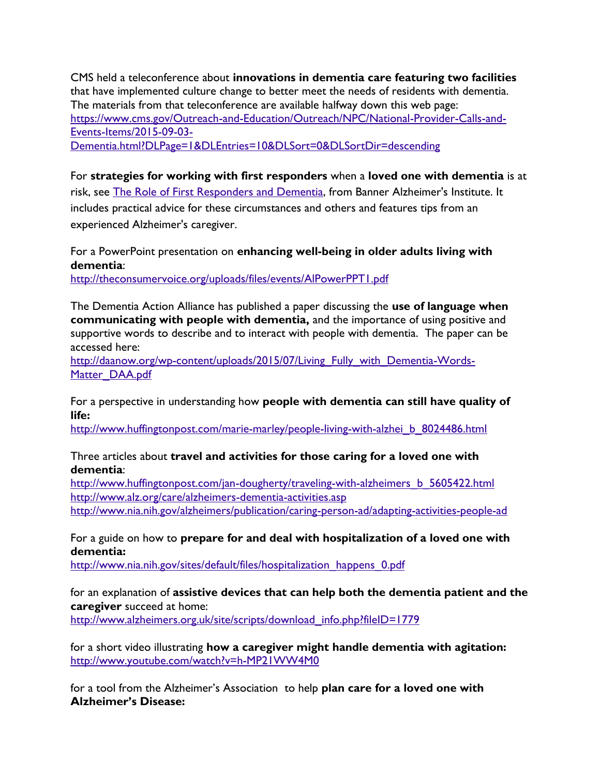CMS held a teleconference about **innovations in dementia care featuring two facilities** that have implemented culture change to better meet the needs of residents with dementia. The materials from that teleconference are available halfway down this web page: [https://www.cms.gov/Outreach-and-Education/Outreach/NPC/National-Provider-Calls-and-](https://www.cms.gov/Outreach-and-Education/Outreach/NPC/National-Provider-Calls-and-Events-Items/2015-09-03-Dementia.html?DLPage=1&DLEntries=10&DLSort=0&DLSortDir=descending)[Events-Items/2015-09-03-](https://www.cms.gov/Outreach-and-Education/Outreach/NPC/National-Provider-Calls-and-Events-Items/2015-09-03-Dementia.html?DLPage=1&DLEntries=10&DLSort=0&DLSortDir=descending) [Dementia.html?DLPage=1&DLEntries=10&DLSort=0&DLSortDir=descending](https://www.cms.gov/Outreach-and-Education/Outreach/NPC/National-Provider-Calls-and-Events-Items/2015-09-03-Dementia.html?DLPage=1&DLEntries=10&DLSort=0&DLSortDir=descending)

For **strategies for working with first responders** when a **loved one with dementia** is at risk, see [The Role of First Responders and Dementia,](http://click.icptrack.com/icp/relay.php?r=17632032&msgid=116046&act=CVVN&c=1540514&destination=http%3A%2F%2Fwww.endalznow.org%2Fnews%2F236-the-role-of-first-responders-and-dementia) from Banner Alzheimer's Institute. It includes practical advice for these circumstances and others and features tips from an experienced Alzheimer's caregiver.

# For a PowerPoint presentation on **enhancing well-being in older adults living with dementia**:

<http://theconsumervoice.org/uploads/files/events/AlPowerPPT1.pdf>

The Dementia Action Alliance has published a paper discussing the **use of language when communicating with people with dementia,** and the importance of using positive and supportive words to describe and to interact with people with dementia. The paper can be accessed here:

[http://daanow.org/wp-content/uploads/2015/07/Living\\_Fully\\_with\\_Dementia-Words-](http://daanow.org/wp-content/uploads/2015/07/Living_Fully_with_Dementia-Words-Matter_DAA.pdf)[Matter\\_DAA.pdf](http://daanow.org/wp-content/uploads/2015/07/Living_Fully_with_Dementia-Words-Matter_DAA.pdf)

For a perspective in understanding how **people with dementia can still have quality of life:**

[http://www.huffingtonpost.com/marie-marley/people-living-with-alzhei\\_b\\_8024486.html](http://www.huffingtonpost.com/marie-marley/people-living-with-alzhei_b_8024486.html)

#### Three articles about **travel and activities for those caring for a loved one with dementia**:

[http://www.huffingtonpost.com/jan-dougherty/traveling-with-alzheimers\\_b\\_5605422.html](http://www.huffingtonpost.com/jan-dougherty/traveling-with-alzheimers_b_5605422.html) <http://www.alz.org/care/alzheimers-dementia-activities.asp> <http://www.nia.nih.gov/alzheimers/publication/caring-person-ad/adapting-activities-people-ad>

# For a guide on how to **prepare for and deal with hospitalization of a loved one with dementia:**

[http://www.nia.nih.gov/sites/default/files/hospitalization\\_happens\\_0.pdf](http://www.nia.nih.gov/sites/default/files/hospitalization_happens_0.pdf)

# for an explanation of **assistive devices that can help both the dementia patient and the caregiver** succeed at home:

[http://www.alzheimers.org.uk/site/scripts/download\\_info.php?fileID=1779](http://www.alzheimers.org.uk/site/scripts/download_info.php?fileID=1779)

for a short video illustrating **how a caregiver might handle dementia with agitation:** <http://www.youtube.com/watch?v=h-MP21WW4M0>

for a tool from the Alzheimer's Association to help **plan care for a loved one with Alzheimer's Disease:**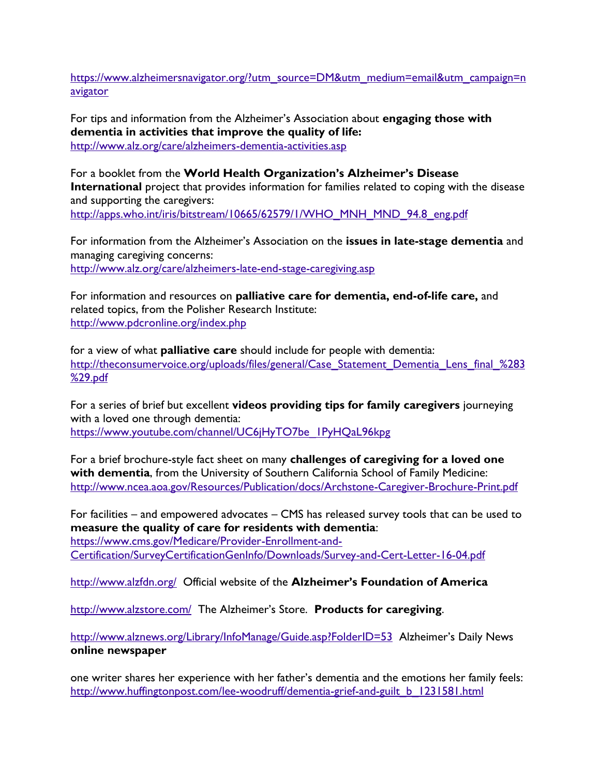[https://www.alzheimersnavigator.org/?utm\\_source=DM&utm\\_medium=email&utm\\_campaign=n](https://www.alzheimersnavigator.org/?utm_source=DM&utm_medium=email&utm_campaign=navigator) [avigator](https://www.alzheimersnavigator.org/?utm_source=DM&utm_medium=email&utm_campaign=navigator)

For tips and information from the Alzheimer's Association about **engaging those with dementia in activities that improve the quality of life:** <http://www.alz.org/care/alzheimers-dementia-activities.asp>

For a booklet from the **World Health Organization's Alzheimer's Disease International** project that provides information for families related to coping with the disease and supporting the caregivers: [http://apps.who.int/iris/bitstream/10665/62579/1/WHO\\_MNH\\_MND\\_94.8\\_eng.pdf](http://apps.who.int/iris/bitstream/10665/62579/1/WHO_MNH_MND_94.8_eng.pdf)

For information from the Alzheimer's Association on the **issues in late-stage dementia** and managing caregiving concerns: <http://www.alz.org/care/alzheimers-late-end-stage-caregiving.asp>

For information and resources on **palliative care for dementia, end-of-life care,** and related topics, from the Polisher Research Institute: <http://www.pdcronline.org/index.php>

for a view of what **palliative care** should include for people with dementia: http://theconsumervoice.org/uploads/files/general/Case Statement Dementia Lens final %283 [%29.pdf](http://theconsumervoice.org/uploads/files/general/Case_Statement_Dementia_Lens_final_%283%29.pdf)

For a series of brief but excellent **videos providing tips for family caregivers** journeying with a loved one through dementia: [https://www.youtube.com/channel/UC6jHyTO7be\\_1PyHQaL96kpg](https://www.youtube.com/channel/UC6jHyTO7be_1PyHQaL96kpg)

For a brief brochure-style fact sheet on many **challenges of caregiving for a loved one with dementia**, from the University of Southern California School of Family Medicine: <http://www.ncea.aoa.gov/Resources/Publication/docs/Archstone-Caregiver-Brochure-Print.pdf>

For facilities – and empowered advocates – CMS has released survey tools that can be used to **measure the quality of care for residents with dementia**: [https://www.cms.gov/Medicare/Provider-Enrollment-and-](https://www.cms.gov/Medicare/Provider-Enrollment-and-Certification/SurveyCertificationGenInfo/Downloads/Survey-and-Cert-Letter-16-04.pdf)[Certification/SurveyCertificationGenInfo/Downloads/Survey-and-Cert-Letter-16-04.pdf](https://www.cms.gov/Medicare/Provider-Enrollment-and-Certification/SurveyCertificationGenInfo/Downloads/Survey-and-Cert-Letter-16-04.pdf)

<http://www.alzfdn.org/>Official website of the **Alzheimer's Foundation of America**

<http://www.alzstore.com/>The Alzheimer's Store. **Products for caregiving**.

<http://www.alznews.org/Library/InfoManage/Guide.asp?FolderID=53>Alzheimer's Daily News **online newspaper**

one writer shares her experience with her father's dementia and the emotions her family feels: [http://www.huffingtonpost.com/lee-woodruff/dementia-grief-and-guilt\\_b\\_1231581.html](http://www.huffingtonpost.com/lee-woodruff/dementia-grief-and-guilt_b_1231581.html?ref=email_share)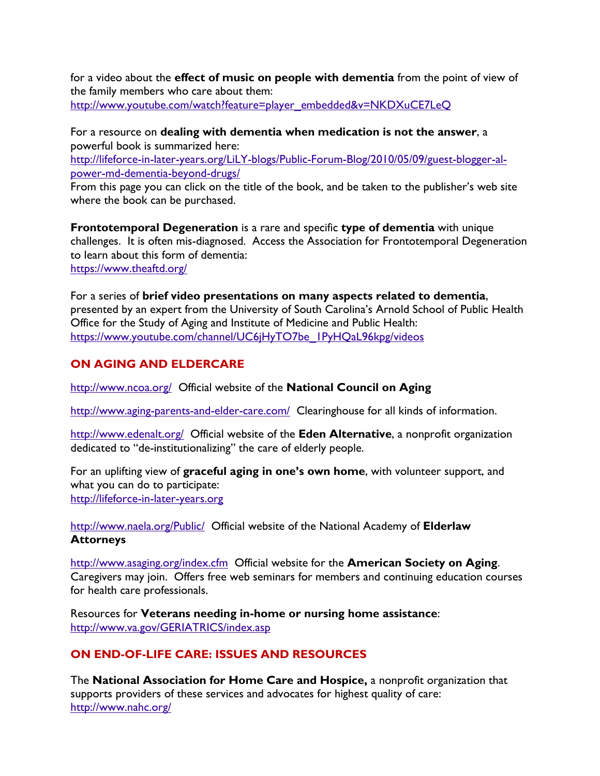for a video about the **effect of music on people with dementia** from the point of view of the family members who care about them: [http://www.youtube.com/watch?feature=player\\_embedded&v=NKDXuCE7LeQ](http://www.youtube.com/watch?feature=player_embedded&v=NKDXuCE7LeQ)

For a resource on **dealing with dementia when medication is not the answer**, a powerful book is summarized here: [http://lifeforce-in-later-years.org/LiLY-blogs/Public-Forum-Blog/2010/05/09/guest-blogger-al-](http://lifeforce-in-later-years.org/LiLY-blogs/Public-Forum-Blog/2010/05/09/guest-blogger-al-power-md-dementia-beyond-drugs/)

[power-md-dementia-beyond-drugs/](http://lifeforce-in-later-years.org/LiLY-blogs/Public-Forum-Blog/2010/05/09/guest-blogger-al-power-md-dementia-beyond-drugs/)

From this page you can click on the title of the book, and be taken to the publisher's web site where the book can be purchased.

**Frontotemporal Degeneration** is a rare and specific **type of dementia** with unique challenges. It is often mis-diagnosed. Access the Association for Frontotemporal Degeneration to learn about this form of dementia: <https://www.theaftd.org/>

For a series of **brief video presentations on many aspects related to dementia**, presented by an expert from the University of South Carolina's Arnold School of Public Health Office for the Study of Aging and Institute of Medicine and Public Health: [https://www.youtube.com/channel/UC6jHyTO7be\\_1PyHQaL96kpg/videos](https://www.youtube.com/channel/UC6jHyTO7be_1PyHQaL96kpg/videos)

# **ON AGING AND ELDERCARE**

<http://www.ncoa.org/>Official website of the **National Council on Aging**

<http://www.aging-parents-and-elder-care.com/>Clearinghouse for all kinds of information.

<http://www.edenalt.org/>Official website of the **Eden Alternative**, a nonprofit organization dedicated to "de-institutionalizing" the care of elderly people.

For an uplifting view of **graceful aging in one's own home**, with volunteer support, and what you can do to participate: [http://lifeforce-in-later-years.org](http://lifeforce-in-later-years.org/) 

<http://www.naela.org/Public/>Official website of the National Academy of **Elderlaw Attorneys**

<http://www.asaging.org/index.cfm>Official website for the **American Society on Aging**. Caregivers may join. Offers free web seminars for members and continuing education courses for health care professionals.

Resources for **Veterans needing in-home or nursing home assistance**: <http://www.va.gov/GERIATRICS/index.asp>

# **ON END-OF-LIFE CARE: ISSUES AND RESOURCES**

The **National Association for Home Care and Hospice,** a nonprofit organization that supports providers of these services and advocates for highest quality of care: <http://www.nahc.org/>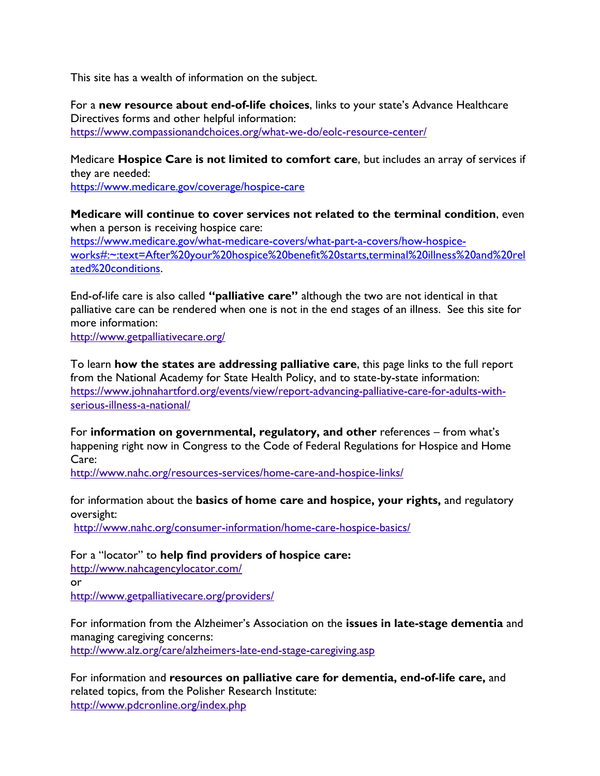This site has a wealth of information on the subject.

For a **new resource about end-of-life choices**, links to your state's Advance Healthcare Directives forms and other helpful information: <https://www.compassionandchoices.org/what-we-do/eolc-resource-center/>

Medicare **Hospice Care is not limited to comfort care**, but includes an array of services if they are needed:

<https://www.medicare.gov/coverage/hospice-care>

**Medicare will continue to cover services not related to the terminal condition**, even when a person is receiving hospice care: [https://www.medicare.gov/what-medicare-covers/what-part-a-covers/how-hospice](https://www.medicare.gov/what-medicare-covers/what-part-a-covers/how-hospice-works#:~:text=After%20your%20hospice%20benefit%20starts,terminal%20illness%20and%20related%20conditions)[works#:~:text=After%20your%20hospice%20benefit%20starts,terminal%20illness%20and%20rel](https://www.medicare.gov/what-medicare-covers/what-part-a-covers/how-hospice-works#:~:text=After%20your%20hospice%20benefit%20starts,terminal%20illness%20and%20related%20conditions) [ated%20conditions.](https://www.medicare.gov/what-medicare-covers/what-part-a-covers/how-hospice-works#:~:text=After%20your%20hospice%20benefit%20starts,terminal%20illness%20and%20related%20conditions)

End-of-life care is also called **"palliative care"** although the two are not identical in that palliative care can be rendered when one is not in the end stages of an illness. See this site for more information:

<http://www.getpalliativecare.org/>

To learn **how the states are addressing palliative care**, this page links to the full report from the National Academy for State Health Policy, and to state-by-state information: [https://www.johnahartford.org/events/view/report-advancing-palliative-care-for-adults-with](https://www.johnahartford.org/events/view/report-advancing-palliative-care-for-adults-with-serious-illness-a-national/)[serious-illness-a-national/](https://www.johnahartford.org/events/view/report-advancing-palliative-care-for-adults-with-serious-illness-a-national/)

For **information on governmental, regulatory, and other** references – from what's happening right now in Congress to the Code of Federal Regulations for Hospice and Home Care:

<http://www.nahc.org/resources-services/home-care-and-hospice-links/>

for information about the **basics of home care and hospice, your rights,** and regulatory oversight:

<http://www.nahc.org/consumer-information/home-care-hospice-basics/>

For a "locator" to **help find providers of hospice care:** <http://www.nahcagencylocator.com/> or <http://www.getpalliativecare.org/providers/>

For information from the Alzheimer's Association on the **issues in late-stage dementia** and managing caregiving concerns:

<http://www.alz.org/care/alzheimers-late-end-stage-caregiving.asp>

For information and **resources on palliative care for dementia, end-of-life care,** and related topics, from the Polisher Research Institute: <http://www.pdcronline.org/index.php>